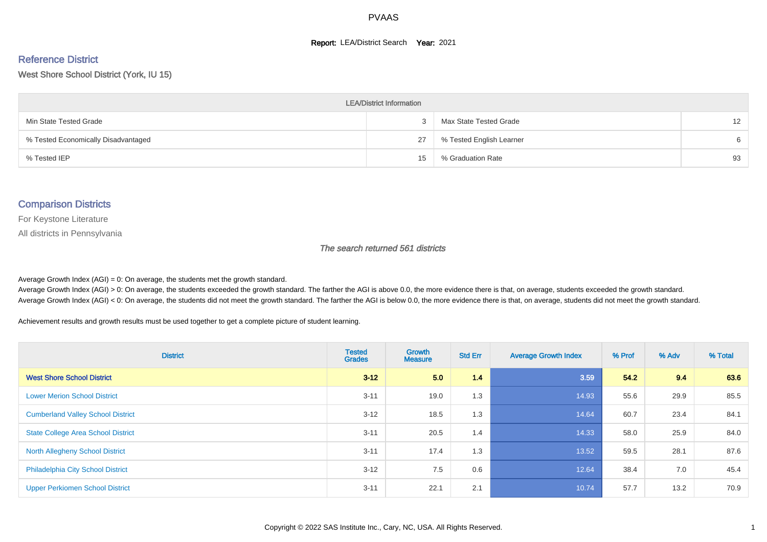#### **Report: LEA/District Search Year: 2021**

#### Reference District

#### West Shore School District (York, IU 15)

| <b>LEA/District Information</b>     |    |                          |    |  |  |  |  |  |  |  |
|-------------------------------------|----|--------------------------|----|--|--|--|--|--|--|--|
| Min State Tested Grade              | -3 | Max State Tested Grade   | 12 |  |  |  |  |  |  |  |
| % Tested Economically Disadvantaged | 27 | % Tested English Learner | 6  |  |  |  |  |  |  |  |
| % Tested IEP                        | 15 | % Graduation Rate        | 93 |  |  |  |  |  |  |  |

#### Comparison Districts

For Keystone Literature

All districts in Pennsylvania

The search returned 561 districts

Average Growth Index  $(AGI) = 0$ : On average, the students met the growth standard.

Average Growth Index (AGI) > 0: On average, the students exceeded the growth standard. The farther the AGI is above 0.0, the more evidence there is that, on average, students exceeded the growth standard. Average Growth Index (AGI) < 0: On average, the students did not meet the growth standard. The farther the AGI is below 0.0, the more evidence there is that, on average, students did not meet the growth standard.

Achievement results and growth results must be used together to get a complete picture of student learning.

| <b>District</b>                           | <b>Tested</b><br><b>Grades</b> | Growth<br><b>Measure</b> | <b>Std Err</b> | <b>Average Growth Index</b> | % Prof | % Adv | % Total |
|-------------------------------------------|--------------------------------|--------------------------|----------------|-----------------------------|--------|-------|---------|
| <b>West Shore School District</b>         | $3 - 12$                       | 5.0                      | 1.4            | 3.59                        | 54.2   | 9.4   | 63.6    |
| <b>Lower Merion School District</b>       | $3 - 11$                       | 19.0                     | 1.3            | 14.93                       | 55.6   | 29.9  | 85.5    |
| <b>Cumberland Valley School District</b>  | $3 - 12$                       | 18.5                     | 1.3            | 14.64                       | 60.7   | 23.4  | 84.1    |
| <b>State College Area School District</b> | $3 - 11$                       | 20.5                     | 1.4            | 14.33                       | 58.0   | 25.9  | 84.0    |
| <b>North Allegheny School District</b>    | $3 - 11$                       | 17.4                     | 1.3            | 13.52                       | 59.5   | 28.1  | 87.6    |
| <b>Philadelphia City School District</b>  | $3 - 12$                       | 7.5                      | 0.6            | 12.64                       | 38.4   | 7.0   | 45.4    |
| <b>Upper Perkiomen School District</b>    | $3 - 11$                       | 22.1                     | 2.1            | 10.74                       | 57.7   | 13.2  | 70.9    |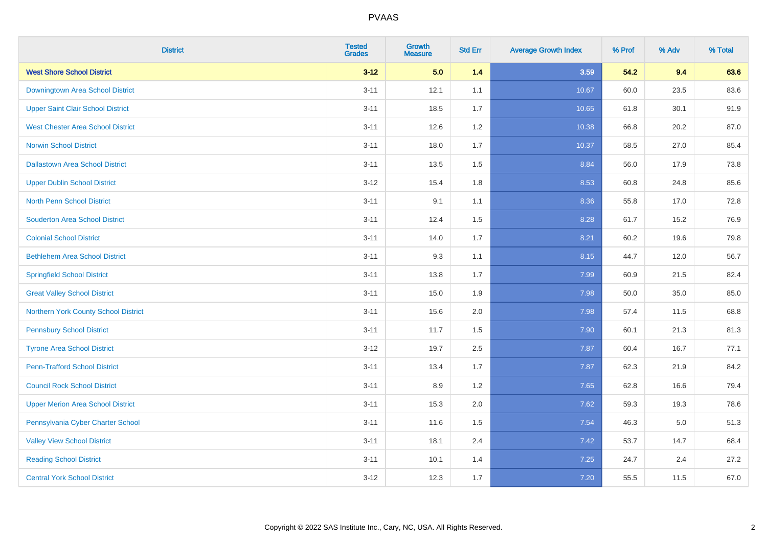| <b>District</b>                          | <b>Tested</b><br><b>Grades</b> | <b>Growth</b><br><b>Measure</b> | <b>Std Err</b> | <b>Average Growth Index</b> | % Prof | % Adv | % Total |
|------------------------------------------|--------------------------------|---------------------------------|----------------|-----------------------------|--------|-------|---------|
| <b>West Shore School District</b>        | $3 - 12$                       | 5.0                             | 1.4            | 3.59                        | 54.2   | 9.4   | 63.6    |
| Downingtown Area School District         | $3 - 11$                       | 12.1                            | 1.1            | 10.67                       | 60.0   | 23.5  | 83.6    |
| <b>Upper Saint Clair School District</b> | $3 - 11$                       | 18.5                            | 1.7            | 10.65                       | 61.8   | 30.1  | 91.9    |
| <b>West Chester Area School District</b> | $3 - 11$                       | 12.6                            | $1.2\,$        | 10.38                       | 66.8   | 20.2  | 87.0    |
| <b>Norwin School District</b>            | $3 - 11$                       | 18.0                            | 1.7            | 10.37                       | 58.5   | 27.0  | 85.4    |
| <b>Dallastown Area School District</b>   | $3 - 11$                       | 13.5                            | 1.5            | 8.84                        | 56.0   | 17.9  | 73.8    |
| <b>Upper Dublin School District</b>      | $3 - 12$                       | 15.4                            | 1.8            | 8.53                        | 60.8   | 24.8  | 85.6    |
| <b>North Penn School District</b>        | $3 - 11$                       | 9.1                             | 1.1            | 8.36                        | 55.8   | 17.0  | 72.8    |
| <b>Souderton Area School District</b>    | $3 - 11$                       | 12.4                            | 1.5            | 8.28                        | 61.7   | 15.2  | 76.9    |
| <b>Colonial School District</b>          | $3 - 11$                       | 14.0                            | 1.7            | 8.21                        | 60.2   | 19.6  | 79.8    |
| <b>Bethlehem Area School District</b>    | $3 - 11$                       | 9.3                             | 1.1            | 8.15                        | 44.7   | 12.0  | 56.7    |
| <b>Springfield School District</b>       | $3 - 11$                       | 13.8                            | 1.7            | 7.99                        | 60.9   | 21.5  | 82.4    |
| <b>Great Valley School District</b>      | $3 - 11$                       | 15.0                            | 1.9            | 7.98                        | 50.0   | 35.0  | 85.0    |
| Northern York County School District     | $3 - 11$                       | 15.6                            | 2.0            | 7.98                        | 57.4   | 11.5  | 68.8    |
| <b>Pennsbury School District</b>         | $3 - 11$                       | 11.7                            | 1.5            | 7.90                        | 60.1   | 21.3  | 81.3    |
| <b>Tyrone Area School District</b>       | $3 - 12$                       | 19.7                            | 2.5            | 7.87                        | 60.4   | 16.7  | 77.1    |
| <b>Penn-Trafford School District</b>     | $3 - 11$                       | 13.4                            | 1.7            | 7.87                        | 62.3   | 21.9  | 84.2    |
| <b>Council Rock School District</b>      | $3 - 11$                       | 8.9                             | 1.2            | 7.65                        | 62.8   | 16.6  | 79.4    |
| <b>Upper Merion Area School District</b> | $3 - 11$                       | 15.3                            | 2.0            | 7.62                        | 59.3   | 19.3  | 78.6    |
| Pennsylvania Cyber Charter School        | $3 - 11$                       | 11.6                            | 1.5            | 7.54                        | 46.3   | 5.0   | 51.3    |
| <b>Valley View School District</b>       | $3 - 11$                       | 18.1                            | 2.4            | 7.42                        | 53.7   | 14.7  | 68.4    |
| <b>Reading School District</b>           | $3 - 11$                       | 10.1                            | 1.4            | 7.25                        | 24.7   | 2.4   | 27.2    |
| <b>Central York School District</b>      | $3 - 12$                       | 12.3                            | 1.7            | 7.20                        | 55.5   | 11.5  | 67.0    |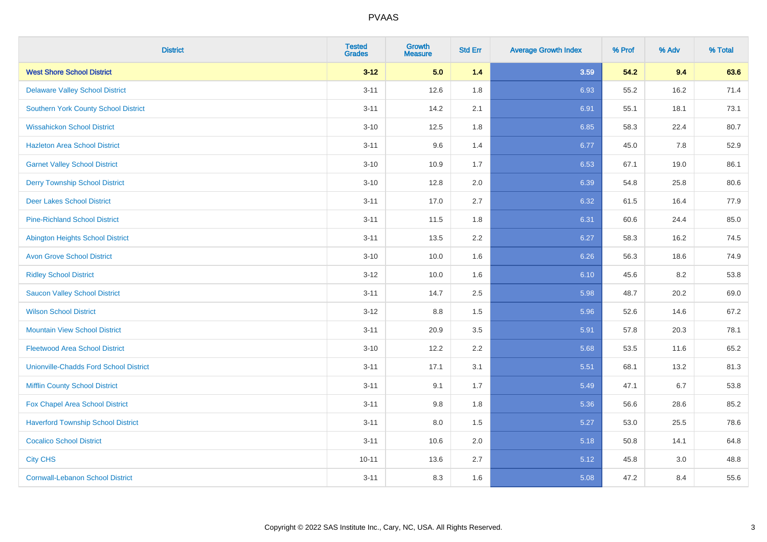| <b>District</b>                               | <b>Tested</b><br><b>Grades</b> | <b>Growth</b><br><b>Measure</b> | <b>Std Err</b> | <b>Average Growth Index</b> | % Prof | % Adv | % Total |
|-----------------------------------------------|--------------------------------|---------------------------------|----------------|-----------------------------|--------|-------|---------|
| <b>West Shore School District</b>             | $3 - 12$                       | 5.0                             | 1.4            | 3.59                        | 54.2   | 9.4   | 63.6    |
| <b>Delaware Valley School District</b>        | $3 - 11$                       | 12.6                            | 1.8            | 6.93                        | 55.2   | 16.2  | 71.4    |
| <b>Southern York County School District</b>   | $3 - 11$                       | 14.2                            | 2.1            | 6.91                        | 55.1   | 18.1  | 73.1    |
| <b>Wissahickon School District</b>            | $3 - 10$                       | 12.5                            | 1.8            | 6.85                        | 58.3   | 22.4  | 80.7    |
| <b>Hazleton Area School District</b>          | $3 - 11$                       | 9.6                             | 1.4            | 6.77                        | 45.0   | 7.8   | 52.9    |
| <b>Garnet Valley School District</b>          | $3 - 10$                       | 10.9                            | 1.7            | 6.53                        | 67.1   | 19.0  | 86.1    |
| <b>Derry Township School District</b>         | $3 - 10$                       | 12.8                            | 2.0            | 6.39                        | 54.8   | 25.8  | 80.6    |
| <b>Deer Lakes School District</b>             | $3 - 11$                       | 17.0                            | 2.7            | 6.32                        | 61.5   | 16.4  | 77.9    |
| <b>Pine-Richland School District</b>          | $3 - 11$                       | 11.5                            | 1.8            | 6.31                        | 60.6   | 24.4  | 85.0    |
| <b>Abington Heights School District</b>       | $3 - 11$                       | 13.5                            | 2.2            | 6.27                        | 58.3   | 16.2  | 74.5    |
| <b>Avon Grove School District</b>             | $3 - 10$                       | 10.0                            | 1.6            | 6.26                        | 56.3   | 18.6  | 74.9    |
| <b>Ridley School District</b>                 | $3 - 12$                       | 10.0                            | 1.6            | 6.10                        | 45.6   | 8.2   | 53.8    |
| <b>Saucon Valley School District</b>          | $3 - 11$                       | 14.7                            | 2.5            | 5.98                        | 48.7   | 20.2  | 69.0    |
| <b>Wilson School District</b>                 | $3 - 12$                       | 8.8                             | 1.5            | 5.96                        | 52.6   | 14.6  | 67.2    |
| <b>Mountain View School District</b>          | $3 - 11$                       | 20.9                            | 3.5            | 5.91                        | 57.8   | 20.3  | 78.1    |
| <b>Fleetwood Area School District</b>         | $3 - 10$                       | 12.2                            | 2.2            | 5.68                        | 53.5   | 11.6  | 65.2    |
| <b>Unionville-Chadds Ford School District</b> | $3 - 11$                       | 17.1                            | 3.1            | 5.51                        | 68.1   | 13.2  | 81.3    |
| <b>Mifflin County School District</b>         | $3 - 11$                       | 9.1                             | 1.7            | 5.49                        | 47.1   | 6.7   | 53.8    |
| Fox Chapel Area School District               | $3 - 11$                       | 9.8                             | 1.8            | 5.36                        | 56.6   | 28.6  | 85.2    |
| <b>Haverford Township School District</b>     | $3 - 11$                       | 8.0                             | 1.5            | 5.27                        | 53.0   | 25.5  | 78.6    |
| <b>Cocalico School District</b>               | $3 - 11$                       | 10.6                            | 2.0            | 5.18                        | 50.8   | 14.1  | 64.8    |
| <b>City CHS</b>                               | $10 - 11$                      | 13.6                            | 2.7            | 5.12                        | 45.8   | 3.0   | 48.8    |
| <b>Cornwall-Lebanon School District</b>       | $3 - 11$                       | 8.3                             | 1.6            | 5.08                        | 47.2   | 8.4   | 55.6    |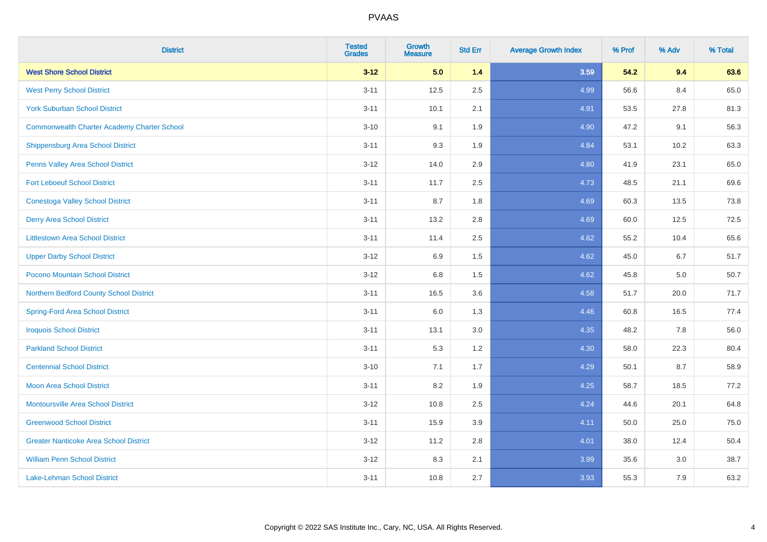| <b>District</b>                                    | <b>Tested</b><br><b>Grades</b> | <b>Growth</b><br><b>Measure</b> | <b>Std Err</b> | <b>Average Growth Index</b> | % Prof | % Adv | % Total |
|----------------------------------------------------|--------------------------------|---------------------------------|----------------|-----------------------------|--------|-------|---------|
| <b>West Shore School District</b>                  | $3 - 12$                       | 5.0                             | $1.4$          | 3.59                        | 54.2   | 9.4   | 63.6    |
| <b>West Perry School District</b>                  | $3 - 11$                       | 12.5                            | 2.5            | 4.99                        | 56.6   | 8.4   | 65.0    |
| <b>York Suburban School District</b>               | $3 - 11$                       | 10.1                            | 2.1            | 4.91                        | 53.5   | 27.8  | 81.3    |
| <b>Commonwealth Charter Academy Charter School</b> | $3 - 10$                       | 9.1                             | 1.9            | 4.90                        | 47.2   | 9.1   | 56.3    |
| Shippensburg Area School District                  | $3 - 11$                       | 9.3                             | 1.9            | 4.84                        | 53.1   | 10.2  | 63.3    |
| Penns Valley Area School District                  | $3 - 12$                       | 14.0                            | 2.9            | 4.80                        | 41.9   | 23.1  | 65.0    |
| <b>Fort Leboeuf School District</b>                | $3 - 11$                       | 11.7                            | 2.5            | 4.73                        | 48.5   | 21.1  | 69.6    |
| <b>Conestoga Valley School District</b>            | $3 - 11$                       | 8.7                             | 1.8            | 4.69                        | 60.3   | 13.5  | 73.8    |
| <b>Derry Area School District</b>                  | $3 - 11$                       | 13.2                            | 2.8            | 4.69                        | 60.0   | 12.5  | 72.5    |
| <b>Littlestown Area School District</b>            | $3 - 11$                       | 11.4                            | $2.5\,$        | 4.62                        | 55.2   | 10.4  | 65.6    |
| <b>Upper Darby School District</b>                 | $3 - 12$                       | 6.9                             | 1.5            | 4.62                        | 45.0   | 6.7   | 51.7    |
| Pocono Mountain School District                    | $3 - 12$                       | $6.8\,$                         | 1.5            | 4.62                        | 45.8   | 5.0   | 50.7    |
| Northern Bedford County School District            | $3 - 11$                       | 16.5                            | 3.6            | 4.58                        | 51.7   | 20.0  | 71.7    |
| <b>Spring-Ford Area School District</b>            | $3 - 11$                       | 6.0                             | 1.3            | 4.46                        | 60.8   | 16.5  | 77.4    |
| <b>Iroquois School District</b>                    | $3 - 11$                       | 13.1                            | 3.0            | 4.35                        | 48.2   | 7.8   | 56.0    |
| <b>Parkland School District</b>                    | $3 - 11$                       | 5.3                             | 1.2            | 4.30                        | 58.0   | 22.3  | 80.4    |
| <b>Centennial School District</b>                  | $3 - 10$                       | 7.1                             | 1.7            | 4.29                        | 50.1   | 8.7   | 58.9    |
| <b>Moon Area School District</b>                   | $3 - 11$                       | 8.2                             | 1.9            | 4.25                        | 58.7   | 18.5  | 77.2    |
| <b>Montoursville Area School District</b>          | $3 - 12$                       | 10.8                            | 2.5            | 4.24                        | 44.6   | 20.1  | 64.8    |
| <b>Greenwood School District</b>                   | $3 - 11$                       | 15.9                            | 3.9            | 4.11                        | 50.0   | 25.0  | 75.0    |
| <b>Greater Nanticoke Area School District</b>      | $3 - 12$                       | 11.2                            | 2.8            | 4.01                        | 38.0   | 12.4  | 50.4    |
| <b>William Penn School District</b>                | $3 - 12$                       | 8.3                             | 2.1            | 3.99                        | 35.6   | 3.0   | 38.7    |
| Lake-Lehman School District                        | $3 - 11$                       | 10.8                            | 2.7            | 3.93                        | 55.3   | 7.9   | 63.2    |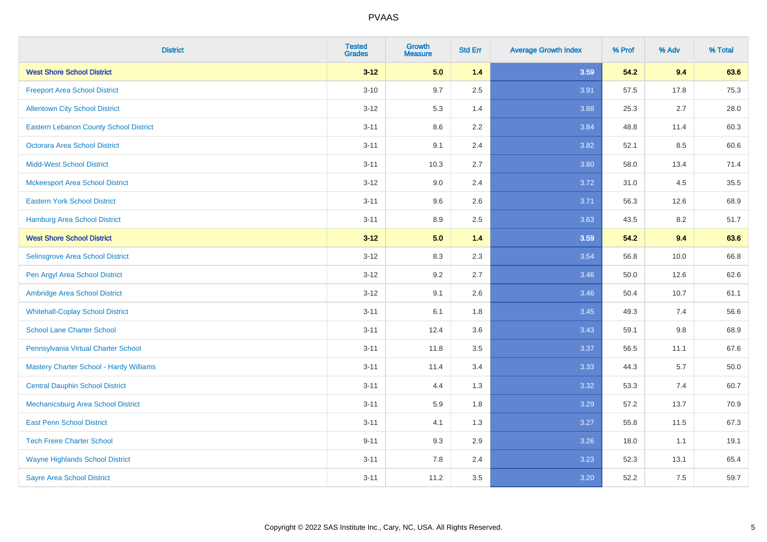| <b>District</b>                               | <b>Tested</b><br><b>Grades</b> | <b>Growth</b><br><b>Measure</b> | <b>Std Err</b> | <b>Average Growth Index</b> | % Prof | % Adv   | % Total  |
|-----------------------------------------------|--------------------------------|---------------------------------|----------------|-----------------------------|--------|---------|----------|
| <b>West Shore School District</b>             | $3 - 12$                       | 5.0                             | 1.4            | 3.59                        | 54.2   | 9.4     | 63.6     |
| <b>Freeport Area School District</b>          | $3 - 10$                       | 9.7                             | 2.5            | 3.91                        | 57.5   | 17.8    | 75.3     |
| <b>Allentown City School District</b>         | $3 - 12$                       | 5.3                             | 1.4            | 3.88                        | 25.3   | 2.7     | 28.0     |
| <b>Eastern Lebanon County School District</b> | $3 - 11$                       | 8.6                             | 2.2            | 3.84                        | 48.8   | 11.4    | 60.3     |
| <b>Octorara Area School District</b>          | $3 - 11$                       | 9.1                             | 2.4            | 3.82                        | 52.1   | 8.5     | 60.6     |
| <b>Midd-West School District</b>              | $3 - 11$                       | 10.3                            | 2.7            | 3.80                        | 58.0   | 13.4    | 71.4     |
| <b>Mckeesport Area School District</b>        | $3 - 12$                       | 9.0                             | 2.4            | 3.72                        | 31.0   | 4.5     | 35.5     |
| <b>Eastern York School District</b>           | $3 - 11$                       | 9.6                             | 2.6            | 3.71                        | 56.3   | 12.6    | 68.9     |
| <b>Hamburg Area School District</b>           | $3 - 11$                       | 8.9                             | 2.5            | 3.63                        | 43.5   | 8.2     | 51.7     |
| <b>West Shore School District</b>             | $3 - 12$                       | 5.0                             | $1.4$          | 3.59                        | 54.2   | 9.4     | 63.6     |
| Selinsgrove Area School District              | $3 - 12$                       | 8.3                             | 2.3            | 3.54                        | 56.8   | 10.0    | 66.8     |
| Pen Argyl Area School District                | $3 - 12$                       | 9.2                             | 2.7            | 3.46                        | 50.0   | 12.6    | 62.6     |
| Ambridge Area School District                 | $3 - 12$                       | 9.1                             | 2.6            | 3.46                        | 50.4   | 10.7    | 61.1     |
| <b>Whitehall-Coplay School District</b>       | $3 - 11$                       | 6.1                             | 1.8            | 3.45                        | 49.3   | 7.4     | 56.6     |
| <b>School Lane Charter School</b>             | $3 - 11$                       | 12.4                            | 3.6            | 3.43                        | 59.1   | $9.8\,$ | 68.9     |
| Pennsylvania Virtual Charter School           | $3 - 11$                       | 11.8                            | $3.5\,$        | 3.37                        | 56.5   | 11.1    | 67.6     |
| Mastery Charter School - Hardy Williams       | $3 - 11$                       | 11.4                            | 3.4            | 3.33                        | 44.3   | 5.7     | $50.0\,$ |
| <b>Central Dauphin School District</b>        | $3 - 11$                       | 4.4                             | 1.3            | 3.32                        | 53.3   | 7.4     | 60.7     |
| Mechanicsburg Area School District            | $3 - 11$                       | 5.9                             | 1.8            | 3.29                        | 57.2   | 13.7    | 70.9     |
| <b>East Penn School District</b>              | $3 - 11$                       | 4.1                             | 1.3            | 3.27                        | 55.8   | 11.5    | 67.3     |
| <b>Tech Freire Charter School</b>             | $9 - 11$                       | 9.3                             | 2.9            | 3.26                        | 18.0   | 1.1     | 19.1     |
| <b>Wayne Highlands School District</b>        | $3 - 11$                       | 7.8                             | 2.4            | 3.23                        | 52.3   | 13.1    | 65.4     |
| <b>Sayre Area School District</b>             | $3 - 11$                       | 11.2                            | 3.5            | 3.20                        | 52.2   | 7.5     | 59.7     |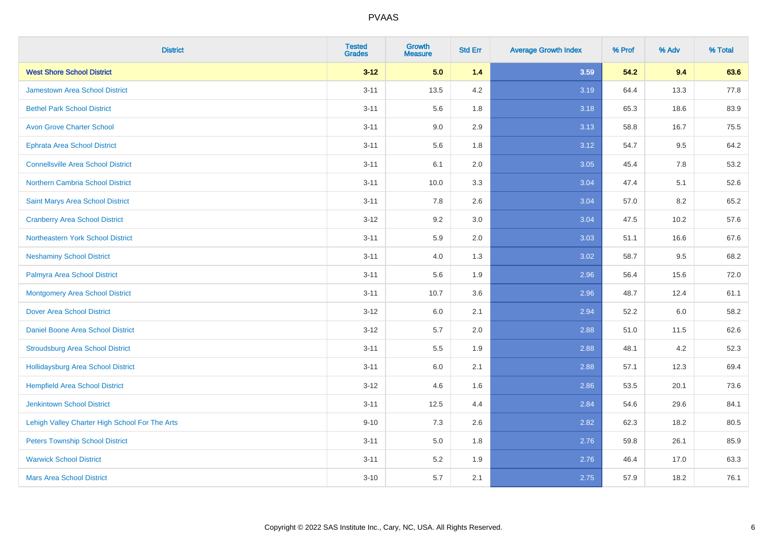| <b>District</b>                                | <b>Tested</b><br><b>Grades</b> | <b>Growth</b><br><b>Measure</b> | <b>Std Err</b> | <b>Average Growth Index</b> | % Prof | % Adv   | % Total |
|------------------------------------------------|--------------------------------|---------------------------------|----------------|-----------------------------|--------|---------|---------|
| <b>West Shore School District</b>              | $3 - 12$                       | 5.0                             | 1.4            | 3.59                        | 54.2   | 9.4     | 63.6    |
| <b>Jamestown Area School District</b>          | $3 - 11$                       | 13.5                            | 4.2            | 3.19                        | 64.4   | 13.3    | 77.8    |
| <b>Bethel Park School District</b>             | $3 - 11$                       | 5.6                             | 1.8            | 3.18                        | 65.3   | 18.6    | 83.9    |
| <b>Avon Grove Charter School</b>               | $3 - 11$                       | 9.0                             | 2.9            | 3.13                        | 58.8   | 16.7    | 75.5    |
| <b>Ephrata Area School District</b>            | $3 - 11$                       | 5.6                             | 1.8            | 3.12                        | 54.7   | 9.5     | 64.2    |
| <b>Connellsville Area School District</b>      | $3 - 11$                       | 6.1                             | 2.0            | 3.05                        | 45.4   | 7.8     | 53.2    |
| Northern Cambria School District               | $3 - 11$                       | 10.0                            | 3.3            | 3.04                        | 47.4   | 5.1     | 52.6    |
| Saint Marys Area School District               | $3 - 11$                       | 7.8                             | 2.6            | 3.04                        | 57.0   | 8.2     | 65.2    |
| <b>Cranberry Area School District</b>          | $3-12$                         | 9.2                             | 3.0            | 3.04                        | 47.5   | 10.2    | 57.6    |
| Northeastern York School District              | $3 - 11$                       | 5.9                             | 2.0            | 3.03                        | 51.1   | 16.6    | 67.6    |
| <b>Neshaminy School District</b>               | $3 - 11$                       | 4.0                             | 1.3            | 3.02                        | 58.7   | 9.5     | 68.2    |
| Palmyra Area School District                   | $3 - 11$                       | 5.6                             | 1.9            | 2.96                        | 56.4   | 15.6    | 72.0    |
| <b>Montgomery Area School District</b>         | $3 - 11$                       | 10.7                            | 3.6            | 2.96                        | 48.7   | 12.4    | 61.1    |
| <b>Dover Area School District</b>              | $3-12$                         | 6.0                             | 2.1            | 2.94                        | 52.2   | $6.0\,$ | 58.2    |
| Daniel Boone Area School District              | $3-12$                         | 5.7                             | 2.0            | 2.88                        | 51.0   | 11.5    | 62.6    |
| <b>Stroudsburg Area School District</b>        | $3 - 11$                       | 5.5                             | 1.9            | 2.88                        | 48.1   | 4.2     | 52.3    |
| Hollidaysburg Area School District             | $3 - 11$                       | 6.0                             | 2.1            | 2.88                        | 57.1   | 12.3    | 69.4    |
| <b>Hempfield Area School District</b>          | $3-12$                         | 4.6                             | 1.6            | 2.86                        | 53.5   | 20.1    | 73.6    |
| <b>Jenkintown School District</b>              | $3 - 11$                       | 12.5                            | 4.4            | 2.84                        | 54.6   | 29.6    | 84.1    |
| Lehigh Valley Charter High School For The Arts | $9 - 10$                       | 7.3                             | 2.6            | 2.82                        | 62.3   | 18.2    | 80.5    |
| <b>Peters Township School District</b>         | $3 - 11$                       | 5.0                             | 1.8            | 2.76                        | 59.8   | 26.1    | 85.9    |
| <b>Warwick School District</b>                 | $3 - 11$                       | 5.2                             | 1.9            | 2.76                        | 46.4   | 17.0    | 63.3    |
| <b>Mars Area School District</b>               | $3 - 10$                       | 5.7                             | 2.1            | 2.75                        | 57.9   | 18.2    | 76.1    |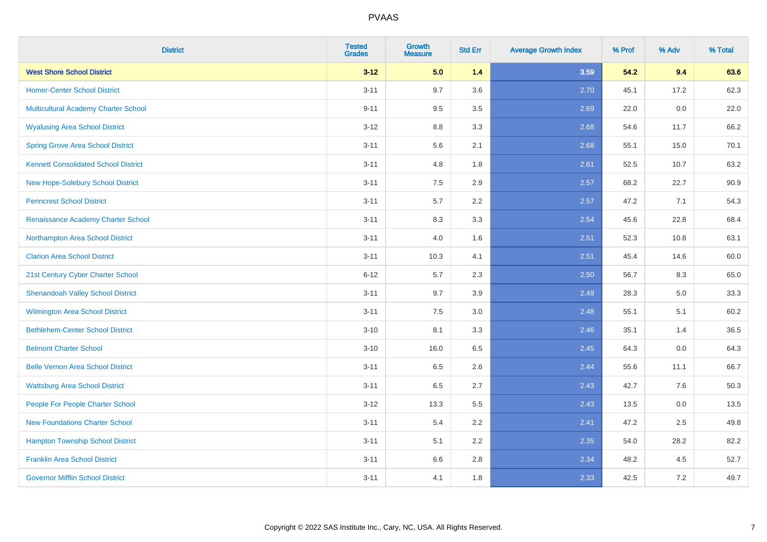| <b>District</b>                             | <b>Tested</b><br><b>Grades</b> | <b>Growth</b><br><b>Measure</b> | <b>Std Err</b> | <b>Average Growth Index</b> | % Prof | % Adv | % Total |
|---------------------------------------------|--------------------------------|---------------------------------|----------------|-----------------------------|--------|-------|---------|
| <b>West Shore School District</b>           | $3 - 12$                       | 5.0                             | 1.4            | 3.59                        | 54.2   | 9.4   | 63.6    |
| <b>Homer-Center School District</b>         | $3 - 11$                       | 9.7                             | 3.6            | 2.70                        | 45.1   | 17.2  | 62.3    |
| Multicultural Academy Charter School        | $9 - 11$                       | 9.5                             | 3.5            | 2.69                        | 22.0   | 0.0   | 22.0    |
| <b>Wyalusing Area School District</b>       | $3 - 12$                       | $8.8\,$                         | 3.3            | 2.68                        | 54.6   | 11.7  | 66.2    |
| <b>Spring Grove Area School District</b>    | $3 - 11$                       | 5.6                             | 2.1            | 2.68                        | 55.1   | 15.0  | 70.1    |
| <b>Kennett Consolidated School District</b> | $3 - 11$                       | 4.8                             | 1.8            | 2.61                        | 52.5   | 10.7  | 63.2    |
| New Hope-Solebury School District           | $3 - 11$                       | $7.5\,$                         | 2.9            | 2.57                        | 68.2   | 22.7  | 90.9    |
| <b>Penncrest School District</b>            | $3 - 11$                       | 5.7                             | 2.2            | 2.57                        | 47.2   | 7.1   | 54.3    |
| Renaissance Academy Charter School          | $3 - 11$                       | 8.3                             | 3.3            | 2.54                        | 45.6   | 22.8  | 68.4    |
| Northampton Area School District            | $3 - 11$                       | 4.0                             | 1.6            | 2.51                        | 52.3   | 10.8  | 63.1    |
| <b>Clarion Area School District</b>         | $3 - 11$                       | 10.3                            | 4.1            | 2.51                        | 45.4   | 14.6  | 60.0    |
| 21st Century Cyber Charter School           | $6 - 12$                       | 5.7                             | 2.3            | 2.50                        | 56.7   | 8.3   | 65.0    |
| <b>Shenandoah Valley School District</b>    | $3 - 11$                       | 9.7                             | 3.9            | 2.49                        | 28.3   | 5.0   | 33.3    |
| Wilmington Area School District             | $3 - 11$                       | 7.5                             | 3.0            | 2.48                        | 55.1   | 5.1   | 60.2    |
| <b>Bethlehem-Center School District</b>     | $3 - 10$                       | 8.1                             | 3.3            | 2.46                        | 35.1   | 1.4   | 36.5    |
| <b>Belmont Charter School</b>               | $3 - 10$                       | 16.0                            | 6.5            | 2.45                        | 64.3   | 0.0   | 64.3    |
| <b>Belle Vernon Area School District</b>    | $3 - 11$                       | 6.5                             | 2.6            | 2.44                        | 55.6   | 11.1  | 66.7    |
| <b>Wattsburg Area School District</b>       | $3 - 11$                       | 6.5                             | 2.7            | 2.43                        | 42.7   | 7.6   | 50.3    |
| People For People Charter School            | $3 - 12$                       | 13.3                            | 5.5            | 2.43                        | 13.5   | 0.0   | 13.5    |
| <b>New Foundations Charter School</b>       | $3 - 11$                       | 5.4                             | 2.2            | 2.41                        | 47.2   | 2.5   | 49.8    |
| <b>Hampton Township School District</b>     | $3 - 11$                       | 5.1                             | 2.2            | 2.35                        | 54.0   | 28.2  | 82.2    |
| <b>Franklin Area School District</b>        | $3 - 11$                       | 6.6                             | 2.8            | 2.34                        | 48.2   | 4.5   | 52.7    |
| <b>Governor Mifflin School District</b>     | $3 - 11$                       | 4.1                             | 1.8            | 2.33                        | 42.5   | 7.2   | 49.7    |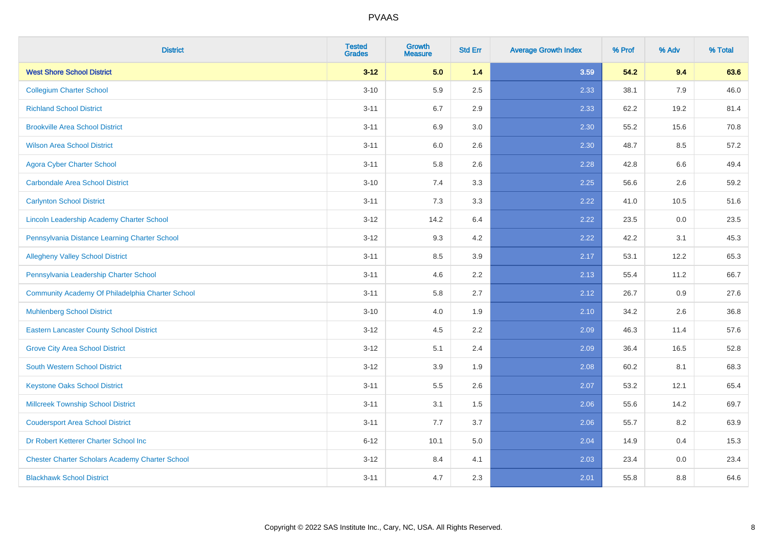| <b>District</b>                                        | <b>Tested</b><br><b>Grades</b> | Growth<br><b>Measure</b> | <b>Std Err</b> | <b>Average Growth Index</b> | % Prof | % Adv | % Total |
|--------------------------------------------------------|--------------------------------|--------------------------|----------------|-----------------------------|--------|-------|---------|
| <b>West Shore School District</b>                      | $3 - 12$                       | 5.0                      | $1.4$          | 3.59                        | 54.2   | 9.4   | 63.6    |
| <b>Collegium Charter School</b>                        | $3 - 10$                       | 5.9                      | 2.5            | 2.33                        | 38.1   | 7.9   | 46.0    |
| <b>Richland School District</b>                        | $3 - 11$                       | 6.7                      | 2.9            | 2.33                        | 62.2   | 19.2  | 81.4    |
| <b>Brookville Area School District</b>                 | $3 - 11$                       | 6.9                      | 3.0            | 2.30                        | 55.2   | 15.6  | 70.8    |
| <b>Wilson Area School District</b>                     | $3 - 11$                       | 6.0                      | 2.6            | 2.30                        | 48.7   | 8.5   | 57.2    |
| <b>Agora Cyber Charter School</b>                      | $3 - 11$                       | 5.8                      | 2.6            | 2.28                        | 42.8   | 6.6   | 49.4    |
| <b>Carbondale Area School District</b>                 | $3 - 10$                       | 7.4                      | 3.3            | 2.25                        | 56.6   | 2.6   | 59.2    |
| <b>Carlynton School District</b>                       | $3 - 11$                       | 7.3                      | 3.3            | 2.22                        | 41.0   | 10.5  | 51.6    |
| Lincoln Leadership Academy Charter School              | $3 - 12$                       | 14.2                     | 6.4            | 2.22                        | 23.5   | 0.0   | 23.5    |
| Pennsylvania Distance Learning Charter School          | $3 - 12$                       | 9.3                      | 4.2            | 2.22                        | 42.2   | 3.1   | 45.3    |
| <b>Allegheny Valley School District</b>                | $3 - 11$                       | 8.5                      | 3.9            | 2.17                        | 53.1   | 12.2  | 65.3    |
| Pennsylvania Leadership Charter School                 | $3 - 11$                       | 4.6                      | 2.2            | 2.13                        | 55.4   | 11.2  | 66.7    |
| Community Academy Of Philadelphia Charter School       | $3 - 11$                       | 5.8                      | 2.7            | 2.12                        | 26.7   | 0.9   | 27.6    |
| <b>Muhlenberg School District</b>                      | $3 - 10$                       | 4.0                      | 1.9            | 2.10                        | 34.2   | 2.6   | 36.8    |
| <b>Eastern Lancaster County School District</b>        | $3 - 12$                       | 4.5                      | 2.2            | 2.09                        | 46.3   | 11.4  | 57.6    |
| <b>Grove City Area School District</b>                 | $3 - 12$                       | 5.1                      | 2.4            | 2.09                        | 36.4   | 16.5  | 52.8    |
| <b>South Western School District</b>                   | $3 - 12$                       | 3.9                      | 1.9            | 2.08                        | 60.2   | 8.1   | 68.3    |
| <b>Keystone Oaks School District</b>                   | $3 - 11$                       | $5.5\,$                  | 2.6            | 2.07                        | 53.2   | 12.1  | 65.4    |
| <b>Millcreek Township School District</b>              | $3 - 11$                       | 3.1                      | 1.5            | 2.06                        | 55.6   | 14.2  | 69.7    |
| <b>Coudersport Area School District</b>                | $3 - 11$                       | 7.7                      | 3.7            | 2.06                        | 55.7   | 8.2   | 63.9    |
| Dr Robert Ketterer Charter School Inc                  | $6 - 12$                       | 10.1                     | 5.0            | 2.04                        | 14.9   | 0.4   | 15.3    |
| <b>Chester Charter Scholars Academy Charter School</b> | $3 - 12$                       | 8.4                      | 4.1            | 2.03                        | 23.4   | 0.0   | 23.4    |
| <b>Blackhawk School District</b>                       | $3 - 11$                       | 4.7                      | 2.3            | 2.01                        | 55.8   | 8.8   | 64.6    |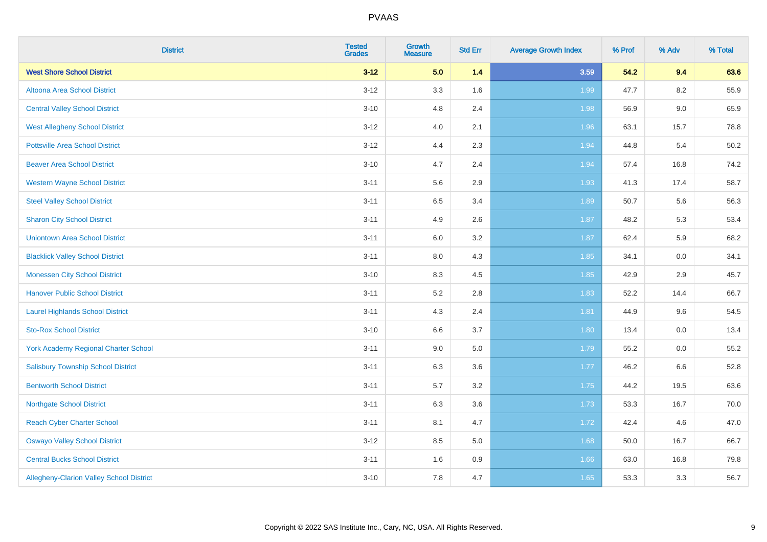| <b>District</b>                                 | <b>Tested</b><br><b>Grades</b> | <b>Growth</b><br><b>Measure</b> | <b>Std Err</b> | <b>Average Growth Index</b> | % Prof | % Adv   | % Total |
|-------------------------------------------------|--------------------------------|---------------------------------|----------------|-----------------------------|--------|---------|---------|
| <b>West Shore School District</b>               | $3 - 12$                       | 5.0                             | 1.4            | 3.59                        | 54.2   | 9.4     | 63.6    |
| Altoona Area School District                    | $3 - 12$                       | 3.3                             | 1.6            | 1.99                        | 47.7   | 8.2     | 55.9    |
| <b>Central Valley School District</b>           | $3 - 10$                       | 4.8                             | 2.4            | 1.98                        | 56.9   | $9.0\,$ | 65.9    |
| <b>West Allegheny School District</b>           | $3 - 12$                       | 4.0                             | 2.1            | 1.96                        | 63.1   | 15.7    | 78.8    |
| <b>Pottsville Area School District</b>          | $3 - 12$                       | 4.4                             | 2.3            | 1.94                        | 44.8   | 5.4     | 50.2    |
| <b>Beaver Area School District</b>              | $3 - 10$                       | 4.7                             | 2.4            | 1.94                        | 57.4   | 16.8    | 74.2    |
| <b>Western Wayne School District</b>            | $3 - 11$                       | 5.6                             | 2.9            | 1.93                        | 41.3   | 17.4    | 58.7    |
| <b>Steel Valley School District</b>             | $3 - 11$                       | 6.5                             | 3.4            | 1.89                        | 50.7   | 5.6     | 56.3    |
| <b>Sharon City School District</b>              | $3 - 11$                       | 4.9                             | 2.6            | 1.87                        | 48.2   | 5.3     | 53.4    |
| <b>Uniontown Area School District</b>           | $3 - 11$                       | 6.0                             | 3.2            | 1.87                        | 62.4   | 5.9     | 68.2    |
| <b>Blacklick Valley School District</b>         | $3 - 11$                       | 8.0                             | 4.3            | 1.85                        | 34.1   | 0.0     | 34.1    |
| <b>Monessen City School District</b>            | $3 - 10$                       | 8.3                             | 4.5            | 1.85                        | 42.9   | 2.9     | 45.7    |
| <b>Hanover Public School District</b>           | $3 - 11$                       | 5.2                             | 2.8            | 1.83                        | 52.2   | 14.4    | 66.7    |
| <b>Laurel Highlands School District</b>         | $3 - 11$                       | 4.3                             | 2.4            | 1.81                        | 44.9   | 9.6     | 54.5    |
| <b>Sto-Rox School District</b>                  | $3 - 10$                       | 6.6                             | 3.7            | 1.80                        | 13.4   | $0.0\,$ | 13.4    |
| <b>York Academy Regional Charter School</b>     | $3 - 11$                       | 9.0                             | 5.0            | 1.79                        | 55.2   | 0.0     | 55.2    |
| <b>Salisbury Township School District</b>       | $3 - 11$                       | 6.3                             | 3.6            | 1.77                        | 46.2   | 6.6     | 52.8    |
| <b>Bentworth School District</b>                | $3 - 11$                       | 5.7                             | 3.2            | 1.75                        | 44.2   | 19.5    | 63.6    |
| <b>Northgate School District</b>                | $3 - 11$                       | 6.3                             | 3.6            | 1.73                        | 53.3   | 16.7    | 70.0    |
| <b>Reach Cyber Charter School</b>               | $3 - 11$                       | 8.1                             | 4.7            | 1.72                        | 42.4   | 4.6     | 47.0    |
| <b>Oswayo Valley School District</b>            | $3 - 12$                       | 8.5                             | 5.0            | 1.68                        | 50.0   | 16.7    | 66.7    |
| <b>Central Bucks School District</b>            | $3 - 11$                       | 1.6                             | 0.9            | 1.66                        | 63.0   | 16.8    | 79.8    |
| <b>Allegheny-Clarion Valley School District</b> | $3 - 10$                       | 7.8                             | 4.7            | 1.65                        | 53.3   | 3.3     | 56.7    |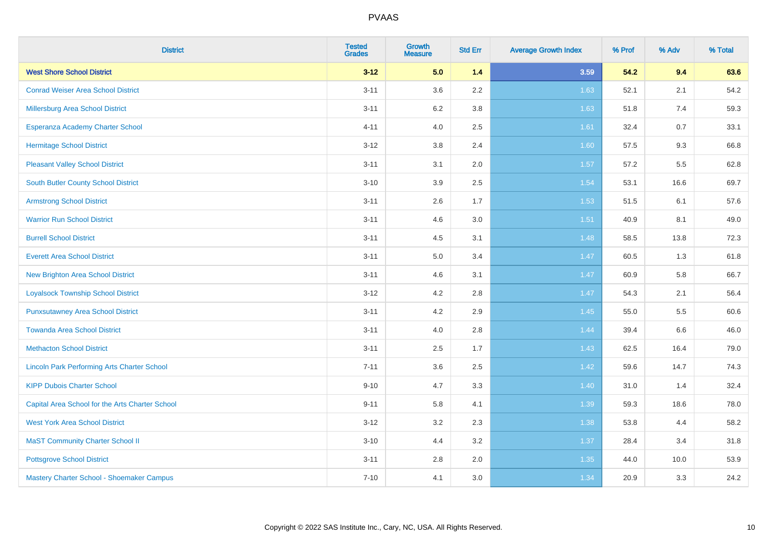| <b>District</b>                                    | <b>Tested</b><br><b>Grades</b> | Growth<br><b>Measure</b> | <b>Std Err</b> | <b>Average Growth Index</b> | % Prof | % Adv | % Total |
|----------------------------------------------------|--------------------------------|--------------------------|----------------|-----------------------------|--------|-------|---------|
| <b>West Shore School District</b>                  | $3 - 12$                       | 5.0                      | $1.4$          | 3.59                        | 54.2   | 9.4   | 63.6    |
| <b>Conrad Weiser Area School District</b>          | $3 - 11$                       | 3.6                      | 2.2            | 1.63                        | 52.1   | 2.1   | 54.2    |
| <b>Millersburg Area School District</b>            | $3 - 11$                       | 6.2                      | 3.8            | 1.63                        | 51.8   | 7.4   | 59.3    |
| Esperanza Academy Charter School                   | $4 - 11$                       | 4.0                      | 2.5            | 1.61                        | 32.4   | 0.7   | 33.1    |
| <b>Hermitage School District</b>                   | $3 - 12$                       | 3.8                      | 2.4            | 1.60                        | 57.5   | 9.3   | 66.8    |
| <b>Pleasant Valley School District</b>             | $3 - 11$                       | 3.1                      | 2.0            | 1.57                        | 57.2   | 5.5   | 62.8    |
| South Butler County School District                | $3 - 10$                       | 3.9                      | 2.5            | 1.54                        | 53.1   | 16.6  | 69.7    |
| <b>Armstrong School District</b>                   | $3 - 11$                       | 2.6                      | 1.7            | 1.53                        | 51.5   | 6.1   | 57.6    |
| <b>Warrior Run School District</b>                 | $3 - 11$                       | 4.6                      | 3.0            | 1.51                        | 40.9   | 8.1   | 49.0    |
| <b>Burrell School District</b>                     | $3 - 11$                       | 4.5                      | 3.1            | 1.48                        | 58.5   | 13.8  | 72.3    |
| <b>Everett Area School District</b>                | $3 - 11$                       | 5.0                      | 3.4            | 1.47                        | 60.5   | 1.3   | 61.8    |
| <b>New Brighton Area School District</b>           | $3 - 11$                       | 4.6                      | 3.1            | 1.47                        | 60.9   | 5.8   | 66.7    |
| <b>Loyalsock Township School District</b>          | $3 - 12$                       | 4.2                      | 2.8            | 1.47                        | 54.3   | 2.1   | 56.4    |
| <b>Punxsutawney Area School District</b>           | $3 - 11$                       | 4.2                      | 2.9            | 1.45                        | 55.0   | 5.5   | 60.6    |
| <b>Towanda Area School District</b>                | $3 - 11$                       | 4.0                      | 2.8            | 1.44                        | 39.4   | 6.6   | 46.0    |
| <b>Methacton School District</b>                   | $3 - 11$                       | 2.5                      | 1.7            | 1.43                        | 62.5   | 16.4  | 79.0    |
| <b>Lincoln Park Performing Arts Charter School</b> | $7 - 11$                       | 3.6                      | 2.5            | 1.42                        | 59.6   | 14.7  | 74.3    |
| <b>KIPP Dubois Charter School</b>                  | $9 - 10$                       | 4.7                      | 3.3            | 1.40                        | 31.0   | 1.4   | 32.4    |
| Capital Area School for the Arts Charter School    | $9 - 11$                       | 5.8                      | 4.1            | 1.39                        | 59.3   | 18.6  | 78.0    |
| <b>West York Area School District</b>              | $3 - 12$                       | 3.2                      | 2.3            | 1.38                        | 53.8   | 4.4   | 58.2    |
| <b>MaST Community Charter School II</b>            | $3 - 10$                       | 4.4                      | 3.2            | 1.37                        | 28.4   | 3.4   | 31.8    |
| <b>Pottsgrove School District</b>                  | $3 - 11$                       | 2.8                      | 2.0            | 1.35                        | 44.0   | 10.0  | 53.9    |
| Mastery Charter School - Shoemaker Campus          | $7 - 10$                       | 4.1                      | 3.0            | 1.34                        | 20.9   | 3.3   | 24.2    |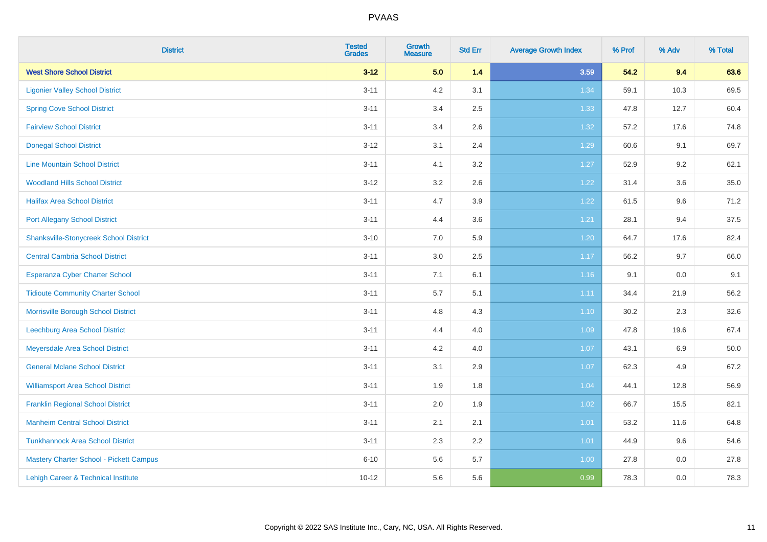| <b>District</b>                               | <b>Tested</b><br><b>Grades</b> | <b>Growth</b><br><b>Measure</b> | <b>Std Err</b> | <b>Average Growth Index</b> | % Prof | % Adv   | % Total |
|-----------------------------------------------|--------------------------------|---------------------------------|----------------|-----------------------------|--------|---------|---------|
| <b>West Shore School District</b>             | $3 - 12$                       | 5.0                             | 1.4            | 3.59                        | 54.2   | 9.4     | 63.6    |
| <b>Ligonier Valley School District</b>        | $3 - 11$                       | 4.2                             | 3.1            | 1.34                        | 59.1   | 10.3    | 69.5    |
| <b>Spring Cove School District</b>            | $3 - 11$                       | 3.4                             | 2.5            | 1.33                        | 47.8   | 12.7    | 60.4    |
| <b>Fairview School District</b>               | $3 - 11$                       | 3.4                             | 2.6            | 1.32                        | 57.2   | 17.6    | 74.8    |
| <b>Donegal School District</b>                | $3 - 12$                       | 3.1                             | 2.4            | 1.29                        | 60.6   | 9.1     | 69.7    |
| <b>Line Mountain School District</b>          | $3 - 11$                       | 4.1                             | 3.2            | 1.27                        | 52.9   | 9.2     | 62.1    |
| <b>Woodland Hills School District</b>         | $3 - 12$                       | 3.2                             | 2.6            | 1.22                        | 31.4   | 3.6     | 35.0    |
| <b>Halifax Area School District</b>           | $3 - 11$                       | 4.7                             | 3.9            | 1.22                        | 61.5   | 9.6     | 71.2    |
| <b>Port Allegany School District</b>          | $3 - 11$                       | 4.4                             | 3.6            | 1.21                        | 28.1   | 9.4     | 37.5    |
| <b>Shanksville-Stonycreek School District</b> | $3 - 10$                       | 7.0                             | 5.9            | 1.20                        | 64.7   | 17.6    | 82.4    |
| <b>Central Cambria School District</b>        | $3 - 11$                       | 3.0                             | 2.5            | 1.17                        | 56.2   | 9.7     | 66.0    |
| Esperanza Cyber Charter School                | $3 - 11$                       | 7.1                             | 6.1            | 1.16                        | 9.1    | $0.0\,$ | 9.1     |
| <b>Tidioute Community Charter School</b>      | $3 - 11$                       | 5.7                             | 5.1            | 1.11                        | 34.4   | 21.9    | 56.2    |
| Morrisville Borough School District           | $3 - 11$                       | 4.8                             | 4.3            | 1.10                        | 30.2   | 2.3     | 32.6    |
| Leechburg Area School District                | $3 - 11$                       | 4.4                             | 4.0            | 1.09                        | 47.8   | 19.6    | 67.4    |
| Meyersdale Area School District               | $3 - 11$                       | 4.2                             | 4.0            | 1.07                        | 43.1   | 6.9     | 50.0    |
| <b>General Mclane School District</b>         | $3 - 11$                       | 3.1                             | 2.9            | 1.07                        | 62.3   | 4.9     | 67.2    |
| <b>Williamsport Area School District</b>      | $3 - 11$                       | 1.9                             | 1.8            | 1.04                        | 44.1   | 12.8    | 56.9    |
| <b>Franklin Regional School District</b>      | $3 - 11$                       | 2.0                             | 1.9            | 1.02                        | 66.7   | 15.5    | 82.1    |
| <b>Manheim Central School District</b>        | $3 - 11$                       | 2.1                             | 2.1            | $1.01$                      | 53.2   | 11.6    | 64.8    |
| <b>Tunkhannock Area School District</b>       | $3 - 11$                       | 2.3                             | 2.2            | 1.01                        | 44.9   | 9.6     | 54.6    |
| Mastery Charter School - Pickett Campus       | $6 - 10$                       | 5.6                             | 5.7            | 1.00                        | 27.8   | 0.0     | 27.8    |
| Lehigh Career & Technical Institute           | $10 - 12$                      | 5.6                             | 5.6            | 0.99                        | 78.3   | 0.0     | 78.3    |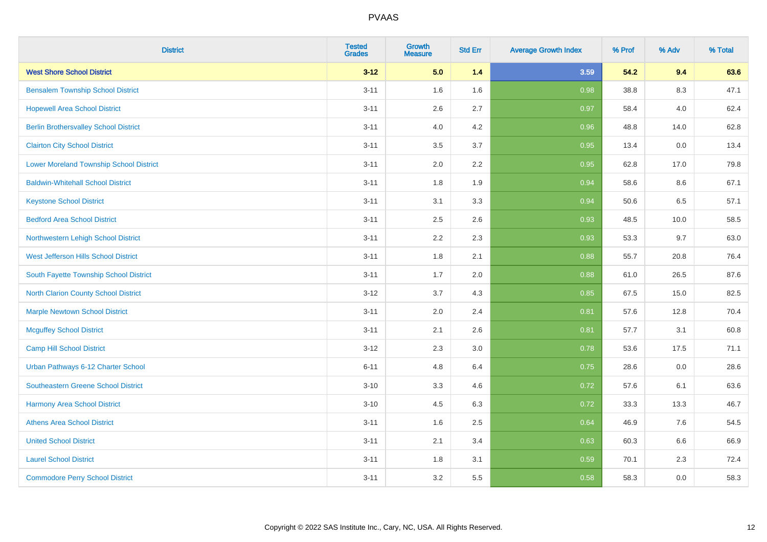| <b>District</b>                                | <b>Tested</b><br><b>Grades</b> | <b>Growth</b><br><b>Measure</b> | <b>Std Err</b> | <b>Average Growth Index</b> | % Prof | % Adv | % Total |
|------------------------------------------------|--------------------------------|---------------------------------|----------------|-----------------------------|--------|-------|---------|
| <b>West Shore School District</b>              | $3 - 12$                       | 5.0                             | 1.4            | 3.59                        | 54.2   | 9.4   | 63.6    |
| <b>Bensalem Township School District</b>       | $3 - 11$                       | 1.6                             | 1.6            | 0.98                        | 38.8   | 8.3   | 47.1    |
| <b>Hopewell Area School District</b>           | $3 - 11$                       | 2.6                             | 2.7            | 0.97                        | 58.4   | 4.0   | 62.4    |
| <b>Berlin Brothersvalley School District</b>   | $3 - 11$                       | 4.0                             | 4.2            | 0.96                        | 48.8   | 14.0  | 62.8    |
| <b>Clairton City School District</b>           | $3 - 11$                       | 3.5                             | 3.7            | 0.95                        | 13.4   | 0.0   | 13.4    |
| <b>Lower Moreland Township School District</b> | $3 - 11$                       | 2.0                             | 2.2            | 0.95                        | 62.8   | 17.0  | 79.8    |
| <b>Baldwin-Whitehall School District</b>       | $3 - 11$                       | 1.8                             | 1.9            | 0.94                        | 58.6   | 8.6   | 67.1    |
| <b>Keystone School District</b>                | $3 - 11$                       | 3.1                             | 3.3            | 0.94                        | 50.6   | 6.5   | 57.1    |
| <b>Bedford Area School District</b>            | $3 - 11$                       | 2.5                             | 2.6            | 0.93                        | 48.5   | 10.0  | 58.5    |
| Northwestern Lehigh School District            | $3 - 11$                       | 2.2                             | 2.3            | 0.93                        | 53.3   | 9.7   | 63.0    |
| West Jefferson Hills School District           | $3 - 11$                       | 1.8                             | 2.1            | 0.88                        | 55.7   | 20.8  | 76.4    |
| South Fayette Township School District         | $3 - 11$                       | 1.7                             | 2.0            | 0.88                        | 61.0   | 26.5  | 87.6    |
| <b>North Clarion County School District</b>    | $3 - 12$                       | 3.7                             | 4.3            | 0.85                        | 67.5   | 15.0  | 82.5    |
| <b>Marple Newtown School District</b>          | $3 - 11$                       | 2.0                             | 2.4            | 0.81                        | 57.6   | 12.8  | 70.4    |
| <b>Mcguffey School District</b>                | $3 - 11$                       | 2.1                             | 2.6            | 0.81                        | 57.7   | 3.1   | 60.8    |
| <b>Camp Hill School District</b>               | $3 - 12$                       | 2.3                             | 3.0            | 0.78                        | 53.6   | 17.5  | 71.1    |
| Urban Pathways 6-12 Charter School             | $6 - 11$                       | 4.8                             | 6.4            | 0.75                        | 28.6   | 0.0   | 28.6    |
| Southeastern Greene School District            | $3 - 10$                       | 3.3                             | 4.6            | $\overline{0.72}$           | 57.6   | 6.1   | 63.6    |
| <b>Harmony Area School District</b>            | $3 - 10$                       | 4.5                             | 6.3            | 0.72                        | 33.3   | 13.3  | 46.7    |
| <b>Athens Area School District</b>             | $3 - 11$                       | 1.6                             | 2.5            | 0.64                        | 46.9   | 7.6   | 54.5    |
| <b>United School District</b>                  | $3 - 11$                       | 2.1                             | 3.4            | 0.63                        | 60.3   | 6.6   | 66.9    |
| <b>Laurel School District</b>                  | $3 - 11$                       | 1.8                             | 3.1            | 0.59                        | 70.1   | 2.3   | 72.4    |
| <b>Commodore Perry School District</b>         | $3 - 11$                       | 3.2                             | 5.5            | 0.58                        | 58.3   | 0.0   | 58.3    |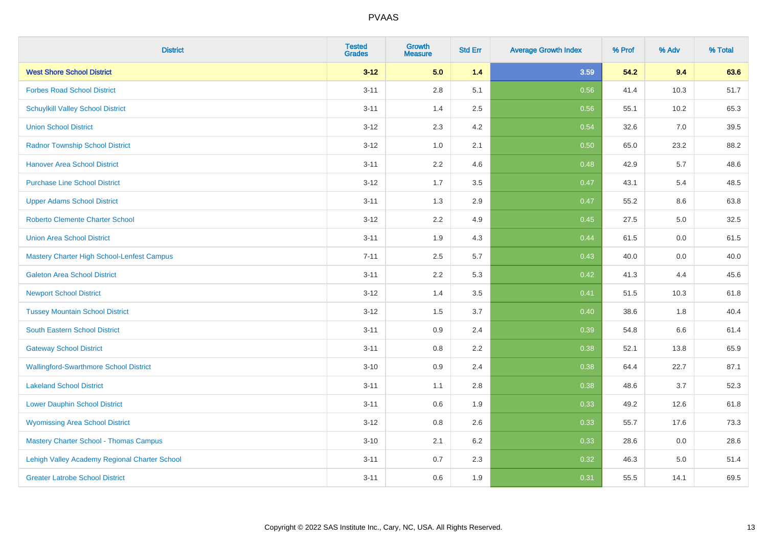| <b>District</b>                               | <b>Tested</b><br><b>Grades</b> | Growth<br><b>Measure</b> | <b>Std Err</b> | <b>Average Growth Index</b> | % Prof | % Adv   | % Total |
|-----------------------------------------------|--------------------------------|--------------------------|----------------|-----------------------------|--------|---------|---------|
| <b>West Shore School District</b>             | $3 - 12$                       | 5.0                      | $1.4$          | 3.59                        | 54.2   | 9.4     | 63.6    |
| <b>Forbes Road School District</b>            | $3 - 11$                       | 2.8                      | 5.1            | 0.56                        | 41.4   | 10.3    | 51.7    |
| <b>Schuylkill Valley School District</b>      | $3 - 11$                       | 1.4                      | 2.5            | 0.56                        | 55.1   | 10.2    | 65.3    |
| <b>Union School District</b>                  | $3 - 12$                       | $2.3\,$                  | 4.2            | 0.54                        | 32.6   | $7.0\,$ | 39.5    |
| <b>Radnor Township School District</b>        | $3 - 12$                       | 1.0                      | 2.1            | 0.50                        | 65.0   | 23.2    | 88.2    |
| <b>Hanover Area School District</b>           | $3 - 11$                       | 2.2                      | 4.6            | 0.48                        | 42.9   | 5.7     | 48.6    |
| <b>Purchase Line School District</b>          | $3 - 12$                       | 1.7                      | 3.5            | 0.47                        | 43.1   | 5.4     | 48.5    |
| <b>Upper Adams School District</b>            | $3 - 11$                       | 1.3                      | 2.9            | 0.47                        | 55.2   | 8.6     | 63.8    |
| <b>Roberto Clemente Charter School</b>        | $3 - 12$                       | 2.2                      | 4.9            | 0.45                        | 27.5   | 5.0     | 32.5    |
| <b>Union Area School District</b>             | $3 - 11$                       | 1.9                      | 4.3            | 0.44                        | 61.5   | 0.0     | 61.5    |
| Mastery Charter High School-Lenfest Campus    | $7 - 11$                       | 2.5                      | 5.7            | 0.43                        | 40.0   | 0.0     | 40.0    |
| <b>Galeton Area School District</b>           | $3 - 11$                       | 2.2                      | 5.3            | 0.42                        | 41.3   | 4.4     | 45.6    |
| <b>Newport School District</b>                | $3 - 12$                       | 1.4                      | 3.5            | 0.41                        | 51.5   | 10.3    | 61.8    |
| <b>Tussey Mountain School District</b>        | $3 - 12$                       | 1.5                      | 3.7            | 0.40                        | 38.6   | 1.8     | 40.4    |
| <b>South Eastern School District</b>          | $3 - 11$                       | 0.9                      | 2.4            | 0.39                        | 54.8   | 6.6     | 61.4    |
| <b>Gateway School District</b>                | $3 - 11$                       | 0.8                      | 2.2            | 0.38                        | 52.1   | 13.8    | 65.9    |
| <b>Wallingford-Swarthmore School District</b> | $3 - 10$                       | 0.9                      | 2.4            | 0.38                        | 64.4   | 22.7    | 87.1    |
| <b>Lakeland School District</b>               | $3 - 11$                       | 1.1                      | 2.8            | 0.38                        | 48.6   | 3.7     | 52.3    |
| <b>Lower Dauphin School District</b>          | $3 - 11$                       | 0.6                      | 1.9            | 0.33                        | 49.2   | 12.6    | 61.8    |
| <b>Wyomissing Area School District</b>        | $3 - 12$                       | 0.8                      | 2.6            | 0.33                        | 55.7   | 17.6    | 73.3    |
| <b>Mastery Charter School - Thomas Campus</b> | $3 - 10$                       | 2.1                      | 6.2            | 0.33                        | 28.6   | 0.0     | 28.6    |
| Lehigh Valley Academy Regional Charter School | $3 - 11$                       | 0.7                      | 2.3            | 0.32                        | 46.3   | 5.0     | 51.4    |
| <b>Greater Latrobe School District</b>        | $3 - 11$                       | 0.6                      | 1.9            | 0.31                        | 55.5   | 14.1    | 69.5    |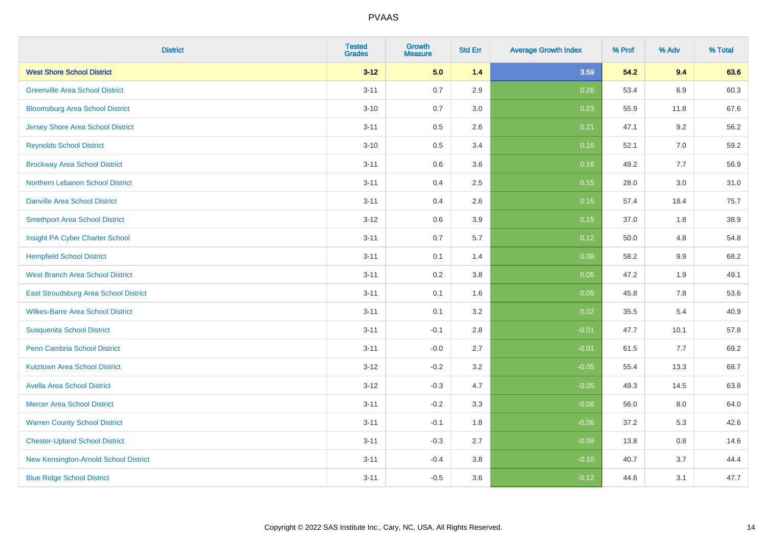| <b>District</b>                          | <b>Tested</b><br><b>Grades</b> | Growth<br><b>Measure</b> | <b>Std Err</b> | <b>Average Growth Index</b> | % Prof | % Adv   | % Total |
|------------------------------------------|--------------------------------|--------------------------|----------------|-----------------------------|--------|---------|---------|
| <b>West Shore School District</b>        | $3 - 12$                       | 5.0                      | $1.4$          | 3.59                        | 54.2   | 9.4     | 63.6    |
| <b>Greenville Area School District</b>   | $3 - 11$                       | 0.7                      | 2.9            | 0.26                        | 53.4   | 6.9     | 60.3    |
| <b>Bloomsburg Area School District</b>   | $3 - 10$                       | 0.7                      | 3.0            | 0.23                        | 55.9   | 11.8    | 67.6    |
| <b>Jersey Shore Area School District</b> | $3 - 11$                       | 0.5                      | 2.6            | 0.21                        | 47.1   | 9.2     | 56.2    |
| <b>Reynolds School District</b>          | $3 - 10$                       | 0.5                      | 3.4            | 0.16                        | 52.1   | 7.0     | 59.2    |
| <b>Brockway Area School District</b>     | $3 - 11$                       | 0.6                      | 3.6            | 0.16                        | 49.2   | 7.7     | 56.9    |
| Northern Lebanon School District         | $3 - 11$                       | 0.4                      | 2.5            | 0.15                        | 28.0   | 3.0     | 31.0    |
| <b>Danville Area School District</b>     | $3 - 11$                       | 0.4                      | 2.6            | 0.15                        | 57.4   | 18.4    | 75.7    |
| <b>Smethport Area School District</b>    | $3 - 12$                       | 0.6                      | 3.9            | 0.15                        | 37.0   | 1.8     | 38.9    |
| Insight PA Cyber Charter School          | $3 - 11$                       | 0.7                      | 5.7            | 0.12                        | 50.0   | 4.8     | 54.8    |
| <b>Hempfield School District</b>         | $3 - 11$                       | 0.1                      | 1.4            | 0.08                        | 58.2   | $9.9\,$ | 68.2    |
| <b>West Branch Area School District</b>  | $3 - 11$                       | 0.2                      | 3.8            | 0.05                        | 47.2   | 1.9     | 49.1    |
| East Stroudsburg Area School District    | $3 - 11$                       | 0.1                      | 1.6            | 0.05                        | 45.8   | 7.8     | 53.6    |
| <b>Wilkes-Barre Area School District</b> | $3 - 11$                       | 0.1                      | 3.2            | 0.02                        | 35.5   | 5.4     | 40.9    |
| <b>Susquenita School District</b>        | $3 - 11$                       | $-0.1$                   | 2.8            | $-0.01$                     | 47.7   | 10.1    | 57.8    |
| <b>Penn Cambria School District</b>      | $3 - 11$                       | $-0.0$                   | 2.7            | $-0.01$                     | 61.5   | 7.7     | 69.2    |
| <b>Kutztown Area School District</b>     | $3 - 12$                       | $-0.2$                   | 3.2            | $-0.05$                     | 55.4   | 13.3    | 68.7    |
| <b>Avella Area School District</b>       | $3-12$                         | $-0.3$                   | 4.7            | $-0.05$                     | 49.3   | 14.5    | 63.8    |
| <b>Mercer Area School District</b>       | $3 - 11$                       | $-0.2$                   | 3.3            | $-0.06$                     | 56.0   | $8.0\,$ | 64.0    |
| <b>Warren County School District</b>     | $3 - 11$                       | $-0.1$                   | 1.8            | $-0.06$                     | 37.2   | 5.3     | 42.6    |
| <b>Chester-Upland School District</b>    | $3 - 11$                       | $-0.3$                   | 2.7            | $-0.09$                     | 13.8   | 0.8     | 14.6    |
| New Kensington-Arnold School District    | $3 - 11$                       | $-0.4$                   | 3.8            | $-0.10$                     | 40.7   | 3.7     | 44.4    |
| <b>Blue Ridge School District</b>        | $3 - 11$                       | $-0.5$                   | 3.6            | $-0.12$                     | 44.6   | 3.1     | 47.7    |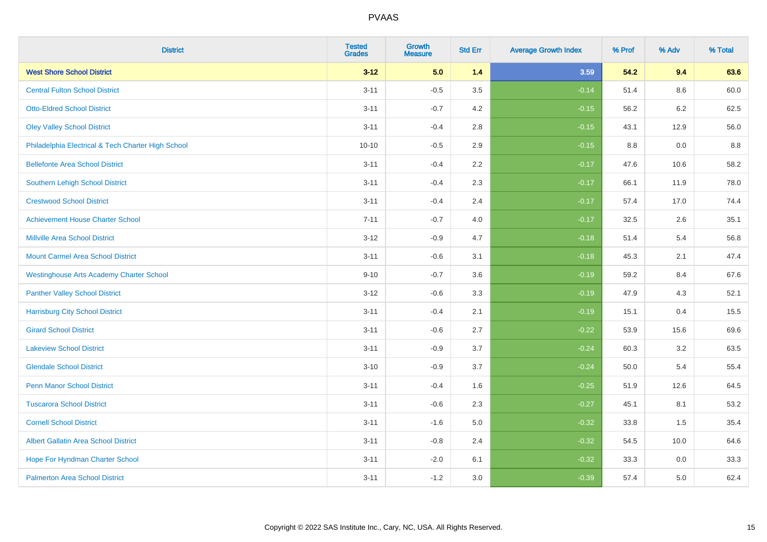| <b>District</b>                                    | <b>Tested</b><br><b>Grades</b> | <b>Growth</b><br><b>Measure</b> | <b>Std Err</b> | <b>Average Growth Index</b> | % Prof | % Adv | % Total |
|----------------------------------------------------|--------------------------------|---------------------------------|----------------|-----------------------------|--------|-------|---------|
| <b>West Shore School District</b>                  | $3 - 12$                       | 5.0                             | 1.4            | 3.59                        | 54.2   | 9.4   | 63.6    |
| <b>Central Fulton School District</b>              | $3 - 11$                       | $-0.5$                          | 3.5            | $-0.14$                     | 51.4   | 8.6   | 60.0    |
| <b>Otto-Eldred School District</b>                 | $3 - 11$                       | $-0.7$                          | 4.2            | $-0.15$                     | 56.2   | 6.2   | 62.5    |
| <b>Oley Valley School District</b>                 | $3 - 11$                       | $-0.4$                          | 2.8            | $-0.15$                     | 43.1   | 12.9  | 56.0    |
| Philadelphia Electrical & Tech Charter High School | $10 - 10$                      | $-0.5$                          | 2.9            | $-0.15$                     | 8.8    | 0.0   | 8.8     |
| <b>Bellefonte Area School District</b>             | $3 - 11$                       | $-0.4$                          | 2.2            | $-0.17$                     | 47.6   | 10.6  | 58.2    |
| <b>Southern Lehigh School District</b>             | $3 - 11$                       | $-0.4$                          | 2.3            | $-0.17$                     | 66.1   | 11.9  | 78.0    |
| <b>Crestwood School District</b>                   | $3 - 11$                       | $-0.4$                          | 2.4            | $-0.17$                     | 57.4   | 17.0  | 74.4    |
| <b>Achievement House Charter School</b>            | $7 - 11$                       | $-0.7$                          | 4.0            | $-0.17$                     | 32.5   | 2.6   | 35.1    |
| <b>Millville Area School District</b>              | $3 - 12$                       | $-0.9$                          | 4.7            | $-0.18$                     | 51.4   | 5.4   | 56.8    |
| <b>Mount Carmel Area School District</b>           | $3 - 11$                       | $-0.6$                          | 3.1            | $-0.18$                     | 45.3   | 2.1   | 47.4    |
| <b>Westinghouse Arts Academy Charter School</b>    | $9 - 10$                       | $-0.7$                          | 3.6            | $-0.19$                     | 59.2   | 8.4   | 67.6    |
| <b>Panther Valley School District</b>              | $3 - 12$                       | $-0.6$                          | 3.3            | $-0.19$                     | 47.9   | 4.3   | 52.1    |
| <b>Harrisburg City School District</b>             | $3 - 11$                       | $-0.4$                          | 2.1            | $-0.19$                     | 15.1   | 0.4   | 15.5    |
| <b>Girard School District</b>                      | $3 - 11$                       | $-0.6$                          | 2.7            | $-0.22$                     | 53.9   | 15.6  | 69.6    |
| <b>Lakeview School District</b>                    | $3 - 11$                       | $-0.9$                          | 3.7            | $-0.24$                     | 60.3   | 3.2   | 63.5    |
| <b>Glendale School District</b>                    | $3 - 10$                       | $-0.9$                          | 3.7            | $-0.24$                     | 50.0   | 5.4   | 55.4    |
| <b>Penn Manor School District</b>                  | $3 - 11$                       | $-0.4$                          | 1.6            | $-0.25$                     | 51.9   | 12.6  | 64.5    |
| <b>Tuscarora School District</b>                   | $3 - 11$                       | $-0.6$                          | 2.3            | $-0.27$                     | 45.1   | 8.1   | 53.2    |
| <b>Cornell School District</b>                     | $3 - 11$                       | $-1.6$                          | 5.0            | $-0.32$                     | 33.8   | 1.5   | 35.4    |
| <b>Albert Gallatin Area School District</b>        | $3 - 11$                       | $-0.8$                          | 2.4            | $-0.32$                     | 54.5   | 10.0  | 64.6    |
| Hope For Hyndman Charter School                    | $3 - 11$                       | $-2.0$                          | 6.1            | $-0.32$                     | 33.3   | 0.0   | 33.3    |
| <b>Palmerton Area School District</b>              | $3 - 11$                       | $-1.2$                          | 3.0            | $-0.39$                     | 57.4   | 5.0   | 62.4    |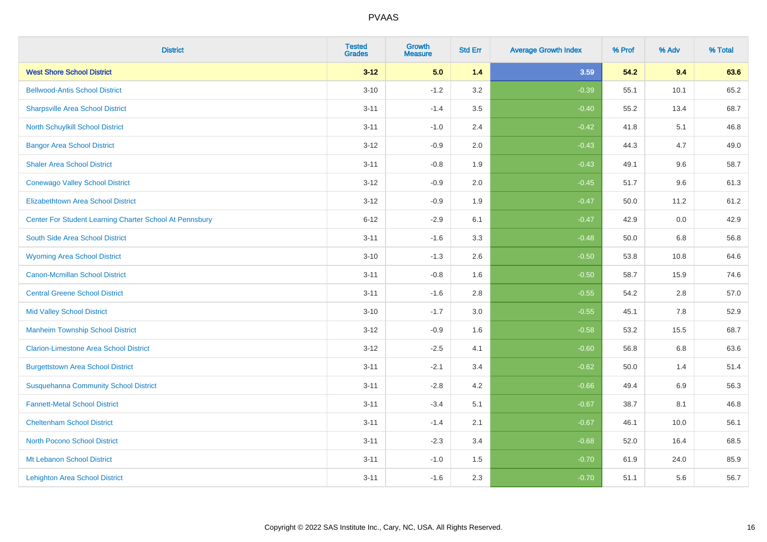| <b>District</b>                                         | <b>Tested</b><br><b>Grades</b> | <b>Growth</b><br><b>Measure</b> | <b>Std Err</b> | <b>Average Growth Index</b> | % Prof | % Adv   | % Total |
|---------------------------------------------------------|--------------------------------|---------------------------------|----------------|-----------------------------|--------|---------|---------|
| <b>West Shore School District</b>                       | $3 - 12$                       | 5.0                             | 1.4            | 3.59                        | 54.2   | 9.4     | 63.6    |
| <b>Bellwood-Antis School District</b>                   | $3 - 10$                       | $-1.2$                          | 3.2            | $-0.39$                     | 55.1   | 10.1    | 65.2    |
| <b>Sharpsville Area School District</b>                 | $3 - 11$                       | $-1.4$                          | 3.5            | $-0.40$                     | 55.2   | 13.4    | 68.7    |
| North Schuylkill School District                        | $3 - 11$                       | $-1.0$                          | 2.4            | $-0.42$                     | 41.8   | 5.1     | 46.8    |
| <b>Bangor Area School District</b>                      | $3 - 12$                       | $-0.9$                          | 2.0            | $-0.43$                     | 44.3   | 4.7     | 49.0    |
| <b>Shaler Area School District</b>                      | $3 - 11$                       | $-0.8$                          | 1.9            | $-0.43$                     | 49.1   | 9.6     | 58.7    |
| <b>Conewago Valley School District</b>                  | $3 - 12$                       | $-0.9$                          | 2.0            | $-0.45$                     | 51.7   | 9.6     | 61.3    |
| <b>Elizabethtown Area School District</b>               | $3 - 12$                       | $-0.9$                          | 1.9            | $-0.47$                     | 50.0   | 11.2    | 61.2    |
| Center For Student Learning Charter School At Pennsbury | $6 - 12$                       | $-2.9$                          | 6.1            | $-0.47$                     | 42.9   | 0.0     | 42.9    |
| South Side Area School District                         | $3 - 11$                       | $-1.6$                          | 3.3            | $-0.48$                     | 50.0   | 6.8     | 56.8    |
| <b>Wyoming Area School District</b>                     | $3 - 10$                       | $-1.3$                          | 2.6            | $-0.50$                     | 53.8   | 10.8    | 64.6    |
| <b>Canon-Mcmillan School District</b>                   | $3 - 11$                       | $-0.8$                          | 1.6            | $-0.50$                     | 58.7   | 15.9    | 74.6    |
| <b>Central Greene School District</b>                   | $3 - 11$                       | $-1.6$                          | 2.8            | $-0.55$                     | 54.2   | $2.8\,$ | 57.0    |
| <b>Mid Valley School District</b>                       | $3 - 10$                       | $-1.7$                          | 3.0            | $-0.55$                     | 45.1   | 7.8     | 52.9    |
| <b>Manheim Township School District</b>                 | $3 - 12$                       | $-0.9$                          | 1.6            | $-0.58$                     | 53.2   | 15.5    | 68.7    |
| <b>Clarion-Limestone Area School District</b>           | $3 - 12$                       | $-2.5$                          | 4.1            | $-0.60$                     | 56.8   | $6.8\,$ | 63.6    |
| <b>Burgettstown Area School District</b>                | $3 - 11$                       | $-2.1$                          | 3.4            | $-0.62$                     | 50.0   | 1.4     | 51.4    |
| <b>Susquehanna Community School District</b>            | $3 - 11$                       | $-2.8$                          | 4.2            | $-0.66$                     | 49.4   | 6.9     | 56.3    |
| <b>Fannett-Metal School District</b>                    | $3 - 11$                       | $-3.4$                          | 5.1            | $-0.67$                     | 38.7   | 8.1     | 46.8    |
| <b>Cheltenham School District</b>                       | $3 - 11$                       | $-1.4$                          | 2.1            | $-0.67$                     | 46.1   | 10.0    | 56.1    |
| <b>North Pocono School District</b>                     | $3 - 11$                       | $-2.3$                          | 3.4            | $-0.68$                     | 52.0   | 16.4    | 68.5    |
| Mt Lebanon School District                              | $3 - 11$                       | $-1.0$                          | 1.5            | $-0.70$                     | 61.9   | 24.0    | 85.9    |
| <b>Lehighton Area School District</b>                   | $3 - 11$                       | $-1.6$                          | 2.3            | $-0.70$                     | 51.1   | 5.6     | 56.7    |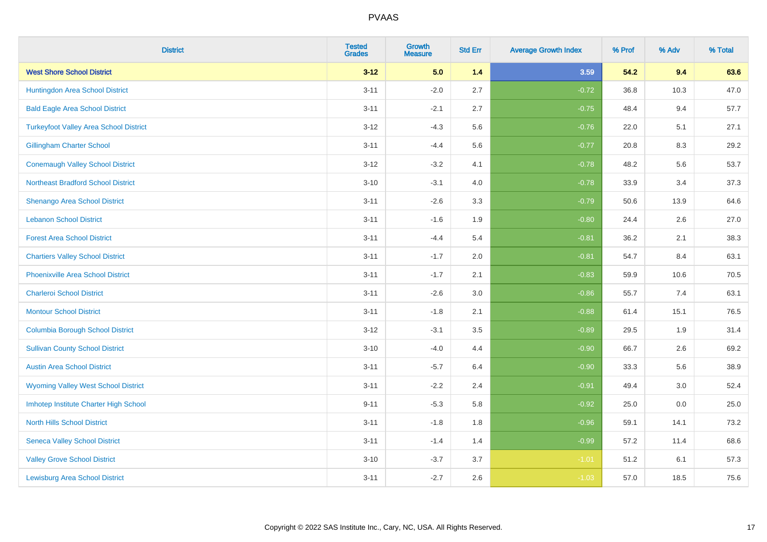| <b>District</b>                               | <b>Tested</b><br><b>Grades</b> | Growth<br><b>Measure</b> | <b>Std Err</b> | <b>Average Growth Index</b> | % Prof | % Adv | % Total |
|-----------------------------------------------|--------------------------------|--------------------------|----------------|-----------------------------|--------|-------|---------|
| <b>West Shore School District</b>             | $3 - 12$                       | 5.0                      | $1.4$          | 3.59                        | 54.2   | 9.4   | 63.6    |
| Huntingdon Area School District               | $3 - 11$                       | $-2.0$                   | 2.7            | $-0.72$                     | 36.8   | 10.3  | 47.0    |
| <b>Bald Eagle Area School District</b>        | $3 - 11$                       | $-2.1$                   | 2.7            | $-0.75$                     | 48.4   | 9.4   | 57.7    |
| <b>Turkeyfoot Valley Area School District</b> | $3 - 12$                       | $-4.3$                   | 5.6            | $-0.76$                     | 22.0   | 5.1   | 27.1    |
| <b>Gillingham Charter School</b>              | $3 - 11$                       | $-4.4$                   | 5.6            | $-0.77$                     | 20.8   | 8.3   | 29.2    |
| <b>Conemaugh Valley School District</b>       | $3 - 12$                       | $-3.2$                   | 4.1            | $-0.78$                     | 48.2   | 5.6   | 53.7    |
| <b>Northeast Bradford School District</b>     | $3 - 10$                       | $-3.1$                   | 4.0            | $-0.78$                     | 33.9   | 3.4   | 37.3    |
| <b>Shenango Area School District</b>          | $3 - 11$                       | $-2.6$                   | 3.3            | $-0.79$                     | 50.6   | 13.9  | 64.6    |
| <b>Lebanon School District</b>                | $3 - 11$                       | $-1.6$                   | 1.9            | $-0.80$                     | 24.4   | 2.6   | 27.0    |
| <b>Forest Area School District</b>            | $3 - 11$                       | $-4.4$                   | 5.4            | $-0.81$                     | 36.2   | 2.1   | 38.3    |
| <b>Chartiers Valley School District</b>       | $3 - 11$                       | $-1.7$                   | 2.0            | $-0.81$                     | 54.7   | 8.4   | 63.1    |
| <b>Phoenixville Area School District</b>      | $3 - 11$                       | $-1.7$                   | 2.1            | $-0.83$                     | 59.9   | 10.6  | 70.5    |
| <b>Charleroi School District</b>              | $3 - 11$                       | $-2.6$                   | 3.0            | $-0.86$                     | 55.7   | 7.4   | 63.1    |
| <b>Montour School District</b>                | $3 - 11$                       | $-1.8$                   | 2.1            | $-0.88$                     | 61.4   | 15.1  | 76.5    |
| <b>Columbia Borough School District</b>       | $3 - 12$                       | $-3.1$                   | 3.5            | $-0.89$                     | 29.5   | 1.9   | 31.4    |
| <b>Sullivan County School District</b>        | $3 - 10$                       | $-4.0$                   | 4.4            | $-0.90$                     | 66.7   | 2.6   | 69.2    |
| <b>Austin Area School District</b>            | $3 - 11$                       | $-5.7$                   | 6.4            | $-0.90$                     | 33.3   | 5.6   | 38.9    |
| <b>Wyoming Valley West School District</b>    | $3 - 11$                       | $-2.2$                   | 2.4            | $-0.91$                     | 49.4   | 3.0   | 52.4    |
| Imhotep Institute Charter High School         | $9 - 11$                       | $-5.3$                   | 5.8            | $-0.92$                     | 25.0   | 0.0   | 25.0    |
| <b>North Hills School District</b>            | $3 - 11$                       | $-1.8$                   | 1.8            | $-0.96$                     | 59.1   | 14.1  | 73.2    |
| <b>Seneca Valley School District</b>          | $3 - 11$                       | $-1.4$                   | 1.4            | $-0.99$                     | 57.2   | 11.4  | 68.6    |
| <b>Valley Grove School District</b>           | $3 - 10$                       | $-3.7$                   | 3.7            | $-1.01$                     | 51.2   | 6.1   | 57.3    |
| <b>Lewisburg Area School District</b>         | $3 - 11$                       | $-2.7$                   | 2.6            | $-1.03$                     | 57.0   | 18.5  | 75.6    |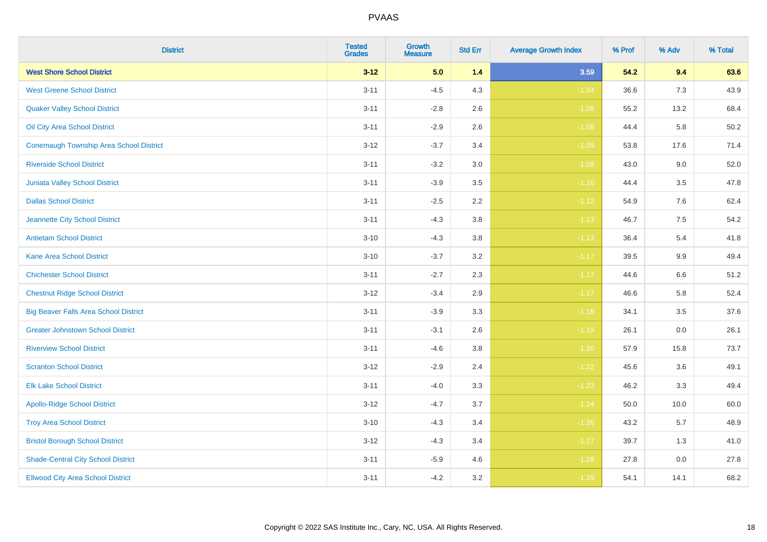| <b>District</b>                              | <b>Tested</b><br><b>Grades</b> | <b>Growth</b><br><b>Measure</b> | <b>Std Err</b> | <b>Average Growth Index</b> | % Prof | % Adv | % Total |
|----------------------------------------------|--------------------------------|---------------------------------|----------------|-----------------------------|--------|-------|---------|
| <b>West Shore School District</b>            | $3 - 12$                       | 5.0                             | 1.4            | 3.59                        | 54.2   | 9.4   | 63.6    |
| <b>West Greene School District</b>           | $3 - 11$                       | $-4.5$                          | 4.3            | $-1.04$                     | 36.6   | $7.3$ | 43.9    |
| <b>Quaker Valley School District</b>         | $3 - 11$                       | $-2.8$                          | 2.6            | $-1.08$                     | 55.2   | 13.2  | 68.4    |
| Oil City Area School District                | $3 - 11$                       | $-2.9$                          | 2.6            | $-1.08$                     | 44.4   | 5.8   | 50.2    |
| Conemaugh Township Area School District      | $3 - 12$                       | $-3.7$                          | 3.4            | $-1.09$                     | 53.8   | 17.6  | 71.4    |
| <b>Riverside School District</b>             | $3 - 11$                       | $-3.2$                          | 3.0            | $-1.09$                     | 43.0   | 9.0   | 52.0    |
| Juniata Valley School District               | $3 - 11$                       | $-3.9$                          | 3.5            | $-1.10$                     | 44.4   | 3.5   | 47.8    |
| <b>Dallas School District</b>                | $3 - 11$                       | $-2.5$                          | 2.2            | $-1.12$                     | 54.9   | 7.6   | 62.4    |
| Jeannette City School District               | $3 - 11$                       | $-4.3$                          | 3.8            | $-1.13$                     | 46.7   | 7.5   | 54.2    |
| <b>Antietam School District</b>              | $3 - 10$                       | $-4.3$                          | 3.8            | $-1.13$                     | 36.4   | 5.4   | 41.8    |
| <b>Kane Area School District</b>             | $3 - 10$                       | $-3.7$                          | 3.2            | $-1.17$                     | 39.5   | 9.9   | 49.4    |
| <b>Chichester School District</b>            | $3 - 11$                       | $-2.7$                          | 2.3            | $-1.17$                     | 44.6   | 6.6   | 51.2    |
| <b>Chestnut Ridge School District</b>        | $3 - 12$                       | $-3.4$                          | 2.9            | $-1.17$                     | 46.6   | 5.8   | 52.4    |
| <b>Big Beaver Falls Area School District</b> | $3 - 11$                       | $-3.9$                          | 3.3            | $-1.18$                     | 34.1   | 3.5   | 37.6    |
| <b>Greater Johnstown School District</b>     | $3 - 11$                       | $-3.1$                          | 2.6            | $-1.19$                     | 26.1   | 0.0   | 26.1    |
| <b>Riverview School District</b>             | $3 - 11$                       | $-4.6$                          | 3.8            | $-1.20$                     | 57.9   | 15.8  | 73.7    |
| <b>Scranton School District</b>              | $3 - 12$                       | $-2.9$                          | 2.4            | $-1.22$                     | 45.6   | 3.6   | 49.1    |
| <b>Elk Lake School District</b>              | $3 - 11$                       | $-4.0$                          | 3.3            | $-1.23$                     | 46.2   | 3.3   | 49.4    |
| <b>Apollo-Ridge School District</b>          | $3-12$                         | $-4.7$                          | 3.7            | $-1.24$                     | 50.0   | 10.0  | 60.0    |
| <b>Troy Area School District</b>             | $3 - 10$                       | $-4.3$                          | 3.4            | $-1.26$                     | 43.2   | 5.7   | 48.9    |
| <b>Bristol Borough School District</b>       | $3 - 12$                       | $-4.3$                          | 3.4            | $-1.27$                     | 39.7   | 1.3   | 41.0    |
| <b>Shade-Central City School District</b>    | $3 - 11$                       | $-5.9$                          | 4.6            | $-1.28$                     | 27.8   | 0.0   | 27.8    |
| <b>Ellwood City Area School District</b>     | $3 - 11$                       | $-4.2$                          | 3.2            | $-1.29$                     | 54.1   | 14.1  | 68.2    |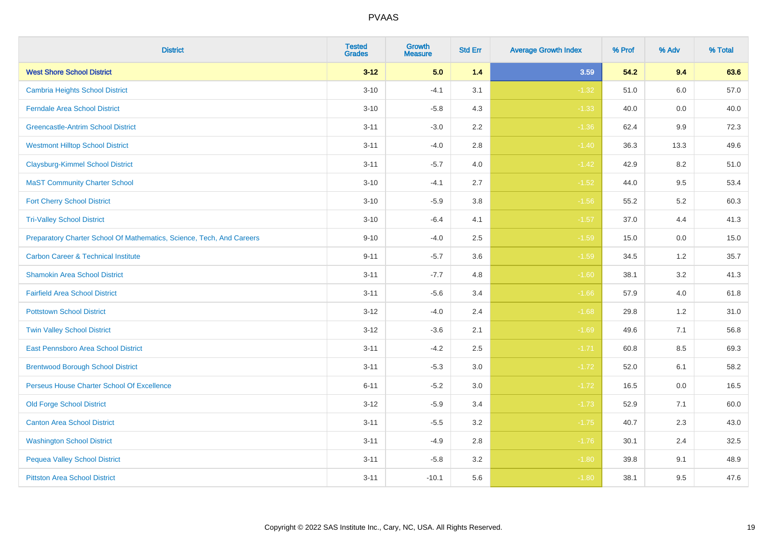| <b>District</b>                                                       | <b>Tested</b><br><b>Grades</b> | <b>Growth</b><br><b>Measure</b> | <b>Std Err</b> | <b>Average Growth Index</b> | % Prof | % Adv | % Total |
|-----------------------------------------------------------------------|--------------------------------|---------------------------------|----------------|-----------------------------|--------|-------|---------|
| <b>West Shore School District</b>                                     | $3 - 12$                       | 5.0                             | 1.4            | 3.59                        | 54.2   | 9.4   | 63.6    |
| <b>Cambria Heights School District</b>                                | $3 - 10$                       | $-4.1$                          | 3.1            | $-1.32$                     | 51.0   | 6.0   | 57.0    |
| <b>Ferndale Area School District</b>                                  | $3 - 10$                       | $-5.8$                          | 4.3            | $-1.33$                     | 40.0   | 0.0   | 40.0    |
| <b>Greencastle-Antrim School District</b>                             | $3 - 11$                       | $-3.0$                          | 2.2            | $-1.36$                     | 62.4   | 9.9   | 72.3    |
| <b>Westmont Hilltop School District</b>                               | $3 - 11$                       | $-4.0$                          | 2.8            | $-1.40$                     | 36.3   | 13.3  | 49.6    |
| <b>Claysburg-Kimmel School District</b>                               | $3 - 11$                       | $-5.7$                          | 4.0            | $-1.42$                     | 42.9   | 8.2   | 51.0    |
| <b>MaST Community Charter School</b>                                  | $3 - 10$                       | $-4.1$                          | 2.7            | $-1.52$                     | 44.0   | 9.5   | 53.4    |
| <b>Fort Cherry School District</b>                                    | $3 - 10$                       | $-5.9$                          | 3.8            | $-1.56$                     | 55.2   | 5.2   | 60.3    |
| <b>Tri-Valley School District</b>                                     | $3 - 10$                       | $-6.4$                          | 4.1            | $-1.57$                     | 37.0   | 4.4   | 41.3    |
| Preparatory Charter School Of Mathematics, Science, Tech, And Careers | $9 - 10$                       | $-4.0$                          | 2.5            | $-1.59$                     | 15.0   | 0.0   | 15.0    |
| <b>Carbon Career &amp; Technical Institute</b>                        | $9 - 11$                       | $-5.7$                          | 3.6            | $-1.59$                     | 34.5   | 1.2   | 35.7    |
| <b>Shamokin Area School District</b>                                  | $3 - 11$                       | $-7.7$                          | 4.8            | $-1.60$                     | 38.1   | 3.2   | 41.3    |
| <b>Fairfield Area School District</b>                                 | $3 - 11$                       | $-5.6$                          | 3.4            | $-1.66$                     | 57.9   | 4.0   | 61.8    |
| <b>Pottstown School District</b>                                      | $3-12$                         | $-4.0$                          | 2.4            | $-1.68$                     | 29.8   | 1.2   | 31.0    |
| <b>Twin Valley School District</b>                                    | $3 - 12$                       | $-3.6$                          | 2.1            | $-1.69$                     | 49.6   | 7.1   | 56.8    |
| <b>East Pennsboro Area School District</b>                            | $3 - 11$                       | $-4.2$                          | 2.5            | $-1.71$                     | 60.8   | 8.5   | 69.3    |
| <b>Brentwood Borough School District</b>                              | $3 - 11$                       | $-5.3$                          | $3.0\,$        | $-1.72$                     | 52.0   | 6.1   | 58.2    |
| Perseus House Charter School Of Excellence                            | $6 - 11$                       | $-5.2$                          | 3.0            | $-1.72$                     | 16.5   | 0.0   | 16.5    |
| <b>Old Forge School District</b>                                      | $3-12$                         | $-5.9$                          | 3.4            | $-1.73$                     | 52.9   | 7.1   | 60.0    |
| <b>Canton Area School District</b>                                    | $3 - 11$                       | $-5.5$                          | 3.2            | $-1.75$                     | 40.7   | 2.3   | 43.0    |
| <b>Washington School District</b>                                     | $3 - 11$                       | $-4.9$                          | 2.8            | $-1.76$                     | 30.1   | 2.4   | 32.5    |
| <b>Pequea Valley School District</b>                                  | $3 - 11$                       | $-5.8$                          | 3.2            | $-1.80$                     | 39.8   | 9.1   | 48.9    |
| <b>Pittston Area School District</b>                                  | $3 - 11$                       | $-10.1$                         | 5.6            | $-1.80$                     | 38.1   | 9.5   | 47.6    |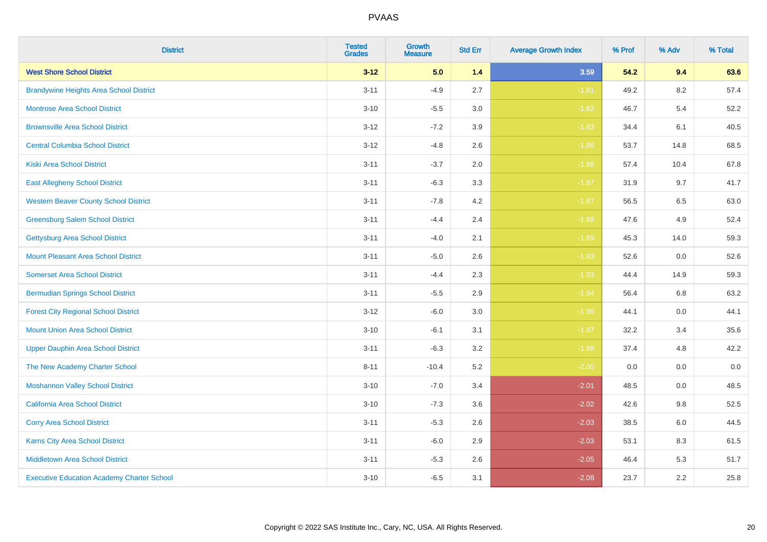| <b>District</b>                                   | <b>Tested</b><br><b>Grades</b> | Growth<br><b>Measure</b> | <b>Std Err</b> | <b>Average Growth Index</b> | % Prof | % Adv   | % Total |
|---------------------------------------------------|--------------------------------|--------------------------|----------------|-----------------------------|--------|---------|---------|
| <b>West Shore School District</b>                 | $3 - 12$                       | 5.0                      | $1.4$          | 3.59                        | 54.2   | 9.4     | 63.6    |
| <b>Brandywine Heights Area School District</b>    | $3 - 11$                       | $-4.9$                   | 2.7            | $-1.81$                     | 49.2   | 8.2     | 57.4    |
| <b>Montrose Area School District</b>              | $3 - 10$                       | $-5.5$                   | 3.0            | $-1.82$                     | 46.7   | 5.4     | 52.2    |
| <b>Brownsville Area School District</b>           | $3 - 12$                       | $-7.2$                   | 3.9            | $-1.83$                     | 34.4   | 6.1     | 40.5    |
| <b>Central Columbia School District</b>           | $3 - 12$                       | $-4.8$                   | 2.6            | $-1.86$                     | 53.7   | 14.8    | 68.5    |
| <b>Kiski Area School District</b>                 | $3 - 11$                       | $-3.7$                   | 2.0            | $-1.86$                     | 57.4   | 10.4    | 67.8    |
| <b>East Allegheny School District</b>             | $3 - 11$                       | $-6.3$                   | 3.3            | $-1.87$                     | 31.9   | 9.7     | 41.7    |
| <b>Western Beaver County School District</b>      | $3 - 11$                       | $-7.8$                   | 4.2            | $-1.87$                     | 56.5   | 6.5     | 63.0    |
| <b>Greensburg Salem School District</b>           | $3 - 11$                       | $-4.4$                   | 2.4            | $-1.88$                     | 47.6   | 4.9     | 52.4    |
| <b>Gettysburg Area School District</b>            | $3 - 11$                       | $-4.0$                   | 2.1            | $-1.89$                     | 45.3   | 14.0    | 59.3    |
| <b>Mount Pleasant Area School District</b>        | $3 - 11$                       | $-5.0$                   | 2.6            | $-1.93$                     | 52.6   | 0.0     | 52.6    |
| <b>Somerset Area School District</b>              | $3 - 11$                       | $-4.4$                   | 2.3            | $-1.93$                     | 44.4   | 14.9    | 59.3    |
| <b>Bermudian Springs School District</b>          | $3 - 11$                       | $-5.5$                   | 2.9            | $-1.94$                     | 56.4   | $6.8\,$ | 63.2    |
| <b>Forest City Regional School District</b>       | $3-12$                         | $-6.0$                   | 3.0            | $-1.96$                     | 44.1   | 0.0     | 44.1    |
| <b>Mount Union Area School District</b>           | $3 - 10$                       | $-6.1$                   | 3.1            | $-1.97$                     | 32.2   | 3.4     | 35.6    |
| <b>Upper Dauphin Area School District</b>         | $3 - 11$                       | $-6.3$                   | 3.2            | $-1.98$                     | 37.4   | 4.8     | 42.2    |
| The New Academy Charter School                    | $8 - 11$                       | $-10.4$                  | 5.2            | $-2.00$                     | 0.0    | 0.0     | $0.0\,$ |
| <b>Moshannon Valley School District</b>           | $3 - 10$                       | $-7.0$                   | 3.4            | $-2.01$                     | 48.5   | 0.0     | 48.5    |
| <b>California Area School District</b>            | $3 - 10$                       | $-7.3$                   | 3.6            | $-2.02$                     | 42.6   | 9.8     | 52.5    |
| <b>Corry Area School District</b>                 | $3 - 11$                       | $-5.3$                   | 2.6            | $-2.03$                     | 38.5   | 6.0     | 44.5    |
| <b>Karns City Area School District</b>            | $3 - 11$                       | $-6.0$                   | 2.9            | $-2.03$                     | 53.1   | 8.3     | 61.5    |
| <b>Middletown Area School District</b>            | $3 - 11$                       | $-5.3$                   | 2.6            | $-2.05$                     | 46.4   | 5.3     | 51.7    |
| <b>Executive Education Academy Charter School</b> | $3 - 10$                       | $-6.5$                   | 3.1            | $-2.08$                     | 23.7   | 2.2     | 25.8    |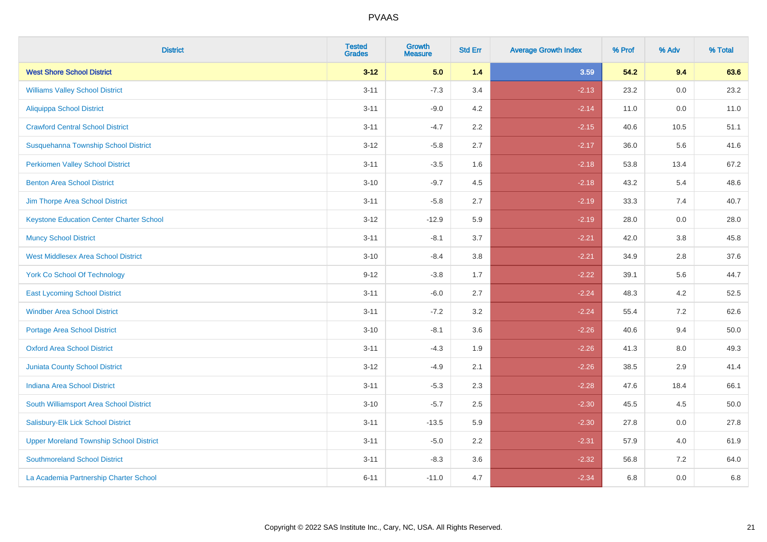| <b>District</b>                                 | <b>Tested</b><br><b>Grades</b> | Growth<br><b>Measure</b> | <b>Std Err</b> | <b>Average Growth Index</b> | % Prof | % Adv   | % Total  |
|-------------------------------------------------|--------------------------------|--------------------------|----------------|-----------------------------|--------|---------|----------|
| <b>West Shore School District</b>               | $3 - 12$                       | 5.0                      | $1.4$          | 3.59                        | 54.2   | 9.4     | 63.6     |
| <b>Williams Valley School District</b>          | $3 - 11$                       | $-7.3$                   | 3.4            | $-2.13$                     | 23.2   | 0.0     | 23.2     |
| <b>Aliquippa School District</b>                | $3 - 11$                       | $-9.0$                   | 4.2            | $-2.14$                     | 11.0   | 0.0     | 11.0     |
| <b>Crawford Central School District</b>         | $3 - 11$                       | $-4.7$                   | $2.2\,$        | $-2.15$                     | 40.6   | 10.5    | 51.1     |
| Susquehanna Township School District            | $3 - 12$                       | $-5.8$                   | 2.7            | $-2.17$                     | 36.0   | 5.6     | 41.6     |
| <b>Perkiomen Valley School District</b>         | $3 - 11$                       | $-3.5$                   | 1.6            | $-2.18$                     | 53.8   | 13.4    | 67.2     |
| <b>Benton Area School District</b>              | $3 - 10$                       | $-9.7$                   | 4.5            | $-2.18$                     | 43.2   | 5.4     | 48.6     |
| Jim Thorpe Area School District                 | $3 - 11$                       | $-5.8$                   | 2.7            | $-2.19$                     | 33.3   | 7.4     | 40.7     |
| <b>Keystone Education Center Charter School</b> | $3 - 12$                       | $-12.9$                  | 5.9            | $-2.19$                     | 28.0   | 0.0     | 28.0     |
| <b>Muncy School District</b>                    | $3 - 11$                       | $-8.1$                   | 3.7            | $-2.21$                     | 42.0   | $3.8\,$ | 45.8     |
| <b>West Middlesex Area School District</b>      | $3 - 10$                       | $-8.4$                   | 3.8            | $-2.21$                     | 34.9   | 2.8     | 37.6     |
| <b>York Co School Of Technology</b>             | $9 - 12$                       | $-3.8$                   | 1.7            | $-2.22$                     | 39.1   | 5.6     | 44.7     |
| <b>East Lycoming School District</b>            | $3 - 11$                       | $-6.0$                   | 2.7            | $-2.24$                     | 48.3   | 4.2     | 52.5     |
| <b>Windber Area School District</b>             | $3 - 11$                       | $-7.2$                   | 3.2            | $-2.24$                     | 55.4   | 7.2     | 62.6     |
| <b>Portage Area School District</b>             | $3 - 10$                       | $-8.1$                   | 3.6            | $-2.26$                     | 40.6   | 9.4     | $50.0\,$ |
| <b>Oxford Area School District</b>              | $3 - 11$                       | $-4.3$                   | 1.9            | $-2.26$                     | 41.3   | 8.0     | 49.3     |
| <b>Juniata County School District</b>           | $3 - 12$                       | $-4.9$                   | 2.1            | $-2.26$                     | 38.5   | 2.9     | 41.4     |
| Indiana Area School District                    | $3 - 11$                       | $-5.3$                   | 2.3            | $-2.28$                     | 47.6   | 18.4    | 66.1     |
| South Williamsport Area School District         | $3 - 10$                       | $-5.7$                   | 2.5            | $-2.30$                     | 45.5   | 4.5     | 50.0     |
| Salisbury-Elk Lick School District              | $3 - 11$                       | $-13.5$                  | 5.9            | $-2.30$                     | 27.8   | 0.0     | 27.8     |
| <b>Upper Moreland Township School District</b>  | $3 - 11$                       | $-5.0$                   | 2.2            | $-2.31$                     | 57.9   | 4.0     | 61.9     |
| <b>Southmoreland School District</b>            | $3 - 11$                       | $-8.3$                   | 3.6            | $-2.32$                     | 56.8   | 7.2     | 64.0     |
| La Academia Partnership Charter School          | $6 - 11$                       | $-11.0$                  | 4.7            | $-2.34$                     | 6.8    | 0.0     | 6.8      |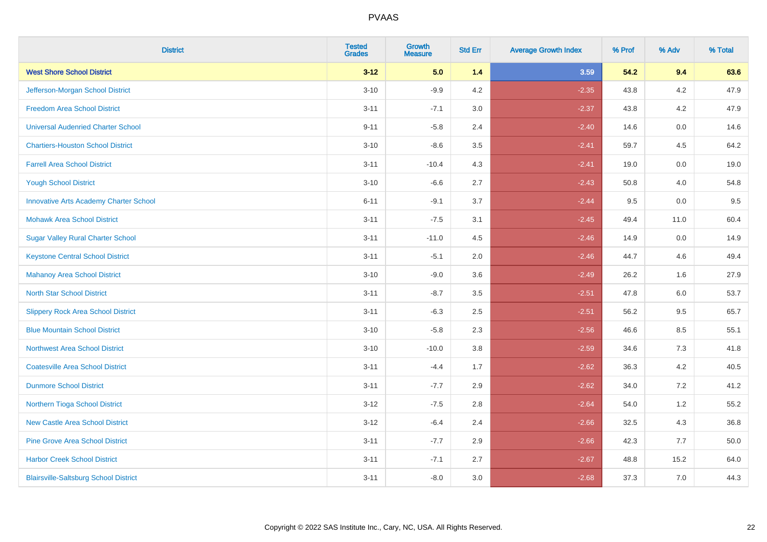| <b>District</b>                               | <b>Tested</b><br><b>Grades</b> | <b>Growth</b><br><b>Measure</b> | <b>Std Err</b> | <b>Average Growth Index</b> | % Prof | % Adv   | % Total |
|-----------------------------------------------|--------------------------------|---------------------------------|----------------|-----------------------------|--------|---------|---------|
| <b>West Shore School District</b>             | $3 - 12$                       | 5.0                             | 1.4            | 3.59                        | 54.2   | 9.4     | 63.6    |
| Jefferson-Morgan School District              | $3 - 10$                       | $-9.9$                          | 4.2            | $-2.35$                     | 43.8   | 4.2     | 47.9    |
| <b>Freedom Area School District</b>           | $3 - 11$                       | $-7.1$                          | 3.0            | $-2.37$                     | 43.8   | 4.2     | 47.9    |
| <b>Universal Audenried Charter School</b>     | $9 - 11$                       | $-5.8$                          | 2.4            | $-2.40$                     | 14.6   | $0.0\,$ | 14.6    |
| <b>Chartiers-Houston School District</b>      | $3 - 10$                       | $-8.6$                          | 3.5            | $-2.41$                     | 59.7   | 4.5     | 64.2    |
| <b>Farrell Area School District</b>           | $3 - 11$                       | $-10.4$                         | 4.3            | $-2.41$                     | 19.0   | 0.0     | 19.0    |
| <b>Yough School District</b>                  | $3 - 10$                       | $-6.6$                          | 2.7            | $-2.43$                     | 50.8   | 4.0     | 54.8    |
| <b>Innovative Arts Academy Charter School</b> | $6 - 11$                       | $-9.1$                          | 3.7            | $-2.44$                     | 9.5    | 0.0     | 9.5     |
| <b>Mohawk Area School District</b>            | $3 - 11$                       | $-7.5$                          | 3.1            | $-2.45$                     | 49.4   | 11.0    | 60.4    |
| <b>Sugar Valley Rural Charter School</b>      | $3 - 11$                       | $-11.0$                         | 4.5            | $-2.46$                     | 14.9   | 0.0     | 14.9    |
| <b>Keystone Central School District</b>       | $3 - 11$                       | $-5.1$                          | 2.0            | $-2.46$                     | 44.7   | 4.6     | 49.4    |
| <b>Mahanoy Area School District</b>           | $3 - 10$                       | $-9.0$                          | 3.6            | $-2.49$                     | 26.2   | 1.6     | 27.9    |
| <b>North Star School District</b>             | $3 - 11$                       | $-8.7$                          | 3.5            | $-2.51$                     | 47.8   | 6.0     | 53.7    |
| <b>Slippery Rock Area School District</b>     | $3 - 11$                       | $-6.3$                          | 2.5            | $-2.51$                     | 56.2   | 9.5     | 65.7    |
| <b>Blue Mountain School District</b>          | $3 - 10$                       | $-5.8$                          | 2.3            | $-2.56$                     | 46.6   | 8.5     | 55.1    |
| <b>Northwest Area School District</b>         | $3 - 10$                       | $-10.0$                         | $3.8\,$        | $-2.59$                     | 34.6   | $7.3$   | 41.8    |
| <b>Coatesville Area School District</b>       | $3 - 11$                       | $-4.4$                          | 1.7            | $-2.62$                     | 36.3   | 4.2     | 40.5    |
| <b>Dunmore School District</b>                | $3 - 11$                       | $-7.7$                          | 2.9            | $-2.62$                     | 34.0   | 7.2     | 41.2    |
| Northern Tioga School District                | $3 - 12$                       | $-7.5$                          | 2.8            | $-2.64$                     | 54.0   | $1.2$   | 55.2    |
| <b>New Castle Area School District</b>        | $3 - 12$                       | $-6.4$                          | 2.4            | $-2.66$                     | 32.5   | 4.3     | 36.8    |
| <b>Pine Grove Area School District</b>        | $3 - 11$                       | $-7.7$                          | 2.9            | $-2.66$                     | 42.3   | 7.7     | 50.0    |
| <b>Harbor Creek School District</b>           | $3 - 11$                       | $-7.1$                          | 2.7            | $-2.67$                     | 48.8   | 15.2    | 64.0    |
| <b>Blairsville-Saltsburg School District</b>  | $3 - 11$                       | $-8.0$                          | 3.0            | $-2.68$                     | 37.3   | 7.0     | 44.3    |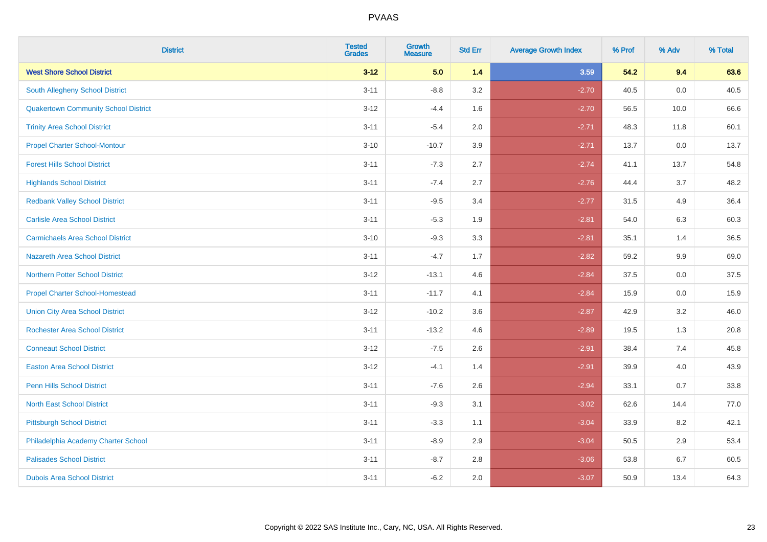| <b>District</b>                             | <b>Tested</b><br><b>Grades</b> | <b>Growth</b><br><b>Measure</b> | <b>Std Err</b> | <b>Average Growth Index</b> | % Prof | % Adv | % Total |
|---------------------------------------------|--------------------------------|---------------------------------|----------------|-----------------------------|--------|-------|---------|
| <b>West Shore School District</b>           | $3 - 12$                       | 5.0                             | 1.4            | 3.59                        | 54.2   | 9.4   | 63.6    |
| South Allegheny School District             | $3 - 11$                       | $-8.8$                          | 3.2            | $-2.70$                     | 40.5   | 0.0   | 40.5    |
| <b>Quakertown Community School District</b> | $3 - 12$                       | $-4.4$                          | 1.6            | $-2.70$                     | 56.5   | 10.0  | 66.6    |
| <b>Trinity Area School District</b>         | $3 - 11$                       | $-5.4$                          | 2.0            | $-2.71$                     | 48.3   | 11.8  | 60.1    |
| <b>Propel Charter School-Montour</b>        | $3 - 10$                       | $-10.7$                         | 3.9            | $-2.71$                     | 13.7   | 0.0   | 13.7    |
| <b>Forest Hills School District</b>         | $3 - 11$                       | $-7.3$                          | 2.7            | $-2.74$                     | 41.1   | 13.7  | 54.8    |
| <b>Highlands School District</b>            | $3 - 11$                       | $-7.4$                          | 2.7            | $-2.76$                     | 44.4   | 3.7   | 48.2    |
| <b>Redbank Valley School District</b>       | $3 - 11$                       | $-9.5$                          | 3.4            | $-2.77$                     | 31.5   | 4.9   | 36.4    |
| <b>Carlisle Area School District</b>        | $3 - 11$                       | $-5.3$                          | 1.9            | $-2.81$                     | 54.0   | 6.3   | 60.3    |
| <b>Carmichaels Area School District</b>     | $3 - 10$                       | $-9.3$                          | 3.3            | $-2.81$                     | 35.1   | 1.4   | 36.5    |
| <b>Nazareth Area School District</b>        | $3 - 11$                       | $-4.7$                          | 1.7            | $-2.82$                     | 59.2   | 9.9   | 69.0    |
| <b>Northern Potter School District</b>      | $3 - 12$                       | $-13.1$                         | 4.6            | $-2.84$                     | 37.5   | 0.0   | 37.5    |
| <b>Propel Charter School-Homestead</b>      | $3 - 11$                       | $-11.7$                         | 4.1            | $-2.84$                     | 15.9   | 0.0   | 15.9    |
| <b>Union City Area School District</b>      | $3 - 12$                       | $-10.2$                         | 3.6            | $-2.87$                     | 42.9   | 3.2   | 46.0    |
| <b>Rochester Area School District</b>       | $3 - 11$                       | $-13.2$                         | 4.6            | $-2.89$                     | 19.5   | 1.3   | 20.8    |
| <b>Conneaut School District</b>             | $3-12$                         | $-7.5$                          | 2.6            | $-2.91$                     | 38.4   | 7.4   | 45.8    |
| <b>Easton Area School District</b>          | $3 - 12$                       | $-4.1$                          | 1.4            | $-2.91$                     | 39.9   | 4.0   | 43.9    |
| <b>Penn Hills School District</b>           | $3 - 11$                       | $-7.6$                          | 2.6            | $-2.94$                     | 33.1   | 0.7   | 33.8    |
| <b>North East School District</b>           | $3 - 11$                       | $-9.3$                          | 3.1            | $-3.02$                     | 62.6   | 14.4  | 77.0    |
| <b>Pittsburgh School District</b>           | $3 - 11$                       | $-3.3$                          | 1.1            | $-3.04$                     | 33.9   | 8.2   | 42.1    |
| Philadelphia Academy Charter School         | $3 - 11$                       | $-8.9$                          | 2.9            | $-3.04$                     | 50.5   | 2.9   | 53.4    |
| <b>Palisades School District</b>            | $3 - 11$                       | $-8.7$                          | 2.8            | $-3.06$                     | 53.8   | 6.7   | 60.5    |
| <b>Dubois Area School District</b>          | $3 - 11$                       | $-6.2$                          | 2.0            | $-3.07$                     | 50.9   | 13.4  | 64.3    |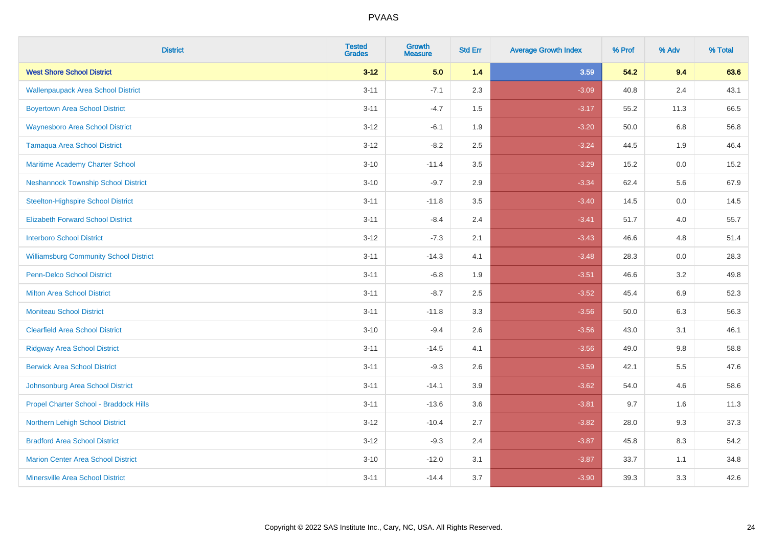| <b>District</b>                               | <b>Tested</b><br><b>Grades</b> | <b>Growth</b><br><b>Measure</b> | <b>Std Err</b> | <b>Average Growth Index</b> | % Prof | % Adv | % Total |
|-----------------------------------------------|--------------------------------|---------------------------------|----------------|-----------------------------|--------|-------|---------|
| <b>West Shore School District</b>             | $3 - 12$                       | 5.0                             | 1.4            | 3.59                        | 54.2   | 9.4   | 63.6    |
| <b>Wallenpaupack Area School District</b>     | $3 - 11$                       | $-7.1$                          | 2.3            | $-3.09$                     | 40.8   | 2.4   | 43.1    |
| <b>Boyertown Area School District</b>         | $3 - 11$                       | $-4.7$                          | 1.5            | $-3.17$                     | 55.2   | 11.3  | 66.5    |
| <b>Waynesboro Area School District</b>        | $3 - 12$                       | $-6.1$                          | 1.9            | $-3.20$                     | 50.0   | 6.8   | 56.8    |
| <b>Tamaqua Area School District</b>           | $3 - 12$                       | $-8.2$                          | 2.5            | $-3.24$                     | 44.5   | 1.9   | 46.4    |
| Maritime Academy Charter School               | $3 - 10$                       | $-11.4$                         | 3.5            | $-3.29$                     | 15.2   | 0.0   | 15.2    |
| <b>Neshannock Township School District</b>    | $3 - 10$                       | $-9.7$                          | 2.9            | $-3.34$                     | 62.4   | 5.6   | 67.9    |
| <b>Steelton-Highspire School District</b>     | $3 - 11$                       | $-11.8$                         | 3.5            | $-3.40$                     | 14.5   | 0.0   | 14.5    |
| <b>Elizabeth Forward School District</b>      | $3 - 11$                       | $-8.4$                          | 2.4            | $-3.41$                     | 51.7   | 4.0   | 55.7    |
| <b>Interboro School District</b>              | $3 - 12$                       | $-7.3$                          | 2.1            | $-3.43$                     | 46.6   | 4.8   | 51.4    |
| <b>Williamsburg Community School District</b> | $3 - 11$                       | $-14.3$                         | 4.1            | $-3.48$                     | 28.3   | 0.0   | 28.3    |
| <b>Penn-Delco School District</b>             | $3 - 11$                       | $-6.8$                          | 1.9            | $-3.51$                     | 46.6   | 3.2   | 49.8    |
| <b>Milton Area School District</b>            | $3 - 11$                       | $-8.7$                          | 2.5            | $-3.52$                     | 45.4   | 6.9   | 52.3    |
| <b>Moniteau School District</b>               | $3 - 11$                       | $-11.8$                         | 3.3            | $-3.56$                     | 50.0   | 6.3   | 56.3    |
| <b>Clearfield Area School District</b>        | $3 - 10$                       | $-9.4$                          | 2.6            | $-3.56$                     | 43.0   | 3.1   | 46.1    |
| <b>Ridgway Area School District</b>           | $3 - 11$                       | $-14.5$                         | 4.1            | $-3.56$                     | 49.0   | 9.8   | 58.8    |
| <b>Berwick Area School District</b>           | $3 - 11$                       | $-9.3$                          | 2.6            | $-3.59$                     | 42.1   | 5.5   | 47.6    |
| Johnsonburg Area School District              | $3 - 11$                       | $-14.1$                         | 3.9            | $-3.62$                     | 54.0   | 4.6   | 58.6    |
| Propel Charter School - Braddock Hills        | $3 - 11$                       | $-13.6$                         | 3.6            | $-3.81$                     | 9.7    | 1.6   | 11.3    |
| Northern Lehigh School District               | $3-12$                         | $-10.4$                         | 2.7            | $-3.82$                     | 28.0   | 9.3   | 37.3    |
| <b>Bradford Area School District</b>          | $3-12$                         | $-9.3$                          | 2.4            | $-3.87$                     | 45.8   | 8.3   | 54.2    |
| <b>Marion Center Area School District</b>     | $3 - 10$                       | $-12.0$                         | 3.1            | $-3.87$                     | 33.7   | 1.1   | 34.8    |
| <b>Minersville Area School District</b>       | $3 - 11$                       | $-14.4$                         | 3.7            | $-3.90$                     | 39.3   | 3.3   | 42.6    |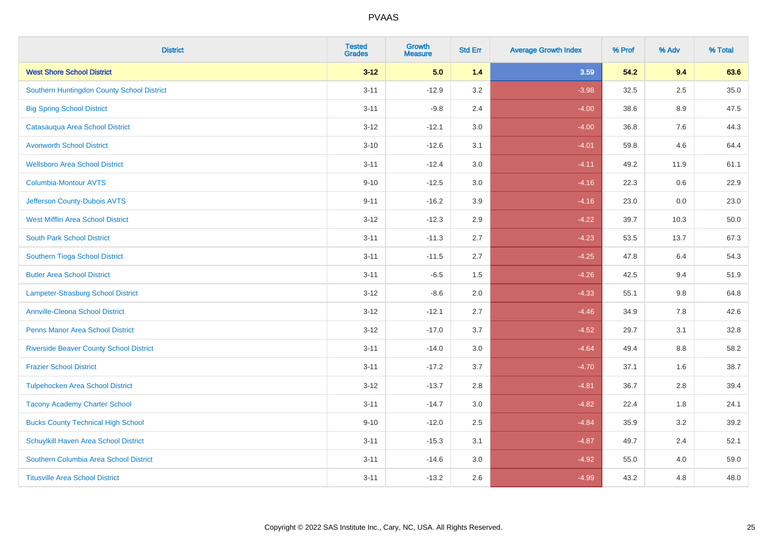| <b>District</b>                                | <b>Tested</b><br><b>Grades</b> | Growth<br><b>Measure</b> | <b>Std Err</b> | <b>Average Growth Index</b> | % Prof | % Adv   | % Total |
|------------------------------------------------|--------------------------------|--------------------------|----------------|-----------------------------|--------|---------|---------|
| <b>West Shore School District</b>              | $3 - 12$                       | 5.0                      | $1.4$          | 3.59                        | 54.2   | 9.4     | 63.6    |
| Southern Huntingdon County School District     | $3 - 11$                       | $-12.9$                  | 3.2            | $-3.98$                     | 32.5   | 2.5     | 35.0    |
| <b>Big Spring School District</b>              | $3 - 11$                       | $-9.8$                   | 2.4            | $-4.00$                     | 38.6   | 8.9     | 47.5    |
| Catasauqua Area School District                | $3 - 12$                       | $-12.1$                  | 3.0            | $-4.00$                     | 36.8   | $7.6\,$ | 44.3    |
| <b>Avonworth School District</b>               | $3 - 10$                       | $-12.6$                  | 3.1            | $-4.01$                     | 59.8   | 4.6     | 64.4    |
| <b>Wellsboro Area School District</b>          | $3 - 11$                       | $-12.4$                  | 3.0            | $-4.11$                     | 49.2   | 11.9    | 61.1    |
| Columbia-Montour AVTS                          | $9 - 10$                       | $-12.5$                  | 3.0            | $-4.16$                     | 22.3   | 0.6     | 22.9    |
| Jefferson County-Dubois AVTS                   | $9 - 11$                       | $-16.2$                  | 3.9            | $-4.16$                     | 23.0   | 0.0     | 23.0    |
| <b>West Mifflin Area School District</b>       | $3 - 12$                       | $-12.3$                  | 2.9            | $-4.22$                     | 39.7   | 10.3    | 50.0    |
| <b>South Park School District</b>              | $3 - 11$                       | $-11.3$                  | 2.7            | $-4.23$                     | 53.5   | 13.7    | 67.3    |
| Southern Tioga School District                 | $3 - 11$                       | $-11.5$                  | 2.7            | $-4.25$                     | 47.8   | 6.4     | 54.3    |
| <b>Butler Area School District</b>             | $3 - 11$                       | $-6.5$                   | 1.5            | $-4.26$                     | 42.5   | 9.4     | 51.9    |
| Lampeter-Strasburg School District             | $3 - 12$                       | $-8.6$                   | 2.0            | $-4.33$                     | 55.1   | 9.8     | 64.8    |
| <b>Annville-Cleona School District</b>         | $3 - 12$                       | $-12.1$                  | 2.7            | $-4.46$                     | 34.9   | $7.8\,$ | 42.6    |
| <b>Penns Manor Area School District</b>        | $3 - 12$                       | $-17.0$                  | 3.7            | $-4.52$                     | 29.7   | 3.1     | 32.8    |
| <b>Riverside Beaver County School District</b> | $3 - 11$                       | $-14.0$                  | 3.0            | $-4.64$                     | 49.4   | 8.8     | 58.2    |
| <b>Frazier School District</b>                 | $3 - 11$                       | $-17.2$                  | 3.7            | $-4.70$                     | 37.1   | 1.6     | 38.7    |
| <b>Tulpehocken Area School District</b>        | $3 - 12$                       | $-13.7$                  | 2.8            | $-4.81$                     | 36.7   | 2.8     | 39.4    |
| <b>Tacony Academy Charter School</b>           | $3 - 11$                       | $-14.7$                  | 3.0            | $-4.82$                     | 22.4   | 1.8     | 24.1    |
| <b>Bucks County Technical High School</b>      | $9 - 10$                       | $-12.0$                  | 2.5            | $-4.84$                     | 35.9   | 3.2     | 39.2    |
| Schuylkill Haven Area School District          | $3 - 11$                       | $-15.3$                  | 3.1            | $-4.87$                     | 49.7   | 2.4     | 52.1    |
| Southern Columbia Area School District         | $3 - 11$                       | $-14.6$                  | 3.0            | $-4.92$                     | 55.0   | 4.0     | 59.0    |
| <b>Titusville Area School District</b>         | $3 - 11$                       | $-13.2$                  | 2.6            | $-4.99$                     | 43.2   | 4.8     | 48.0    |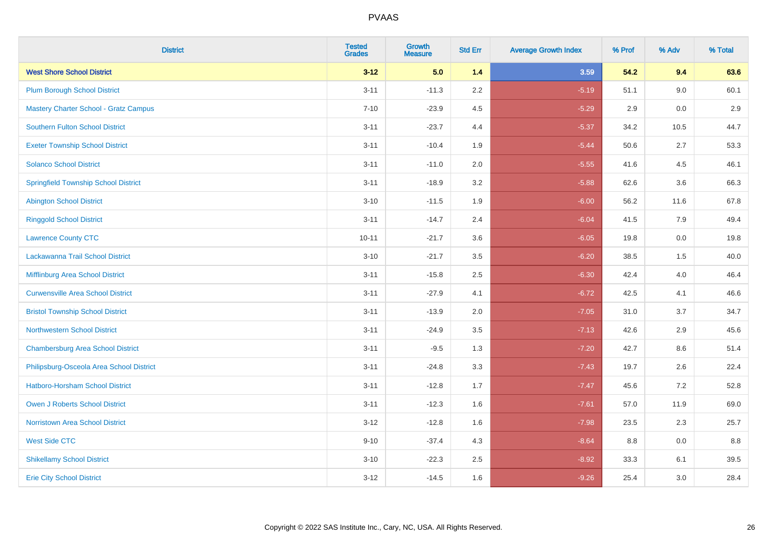| <b>District</b>                              | <b>Tested</b><br><b>Grades</b> | <b>Growth</b><br><b>Measure</b> | <b>Std Err</b> | <b>Average Growth Index</b> | % Prof | % Adv | % Total |
|----------------------------------------------|--------------------------------|---------------------------------|----------------|-----------------------------|--------|-------|---------|
| <b>West Shore School District</b>            | $3 - 12$                       | 5.0                             | 1.4            | 3.59                        | 54.2   | 9.4   | 63.6    |
| <b>Plum Borough School District</b>          | $3 - 11$                       | $-11.3$                         | 2.2            | $-5.19$                     | 51.1   | 9.0   | 60.1    |
| <b>Mastery Charter School - Gratz Campus</b> | $7 - 10$                       | $-23.9$                         | 4.5            | $-5.29$                     | 2.9    | 0.0   | 2.9     |
| <b>Southern Fulton School District</b>       | $3 - 11$                       | $-23.7$                         | 4.4            | $-5.37$                     | 34.2   | 10.5  | 44.7    |
| <b>Exeter Township School District</b>       | $3 - 11$                       | $-10.4$                         | 1.9            | $-5.44$                     | 50.6   | 2.7   | 53.3    |
| <b>Solanco School District</b>               | $3 - 11$                       | $-11.0$                         | 2.0            | $-5.55$                     | 41.6   | 4.5   | 46.1    |
| <b>Springfield Township School District</b>  | $3 - 11$                       | $-18.9$                         | 3.2            | $-5.88$                     | 62.6   | 3.6   | 66.3    |
| <b>Abington School District</b>              | $3 - 10$                       | $-11.5$                         | 1.9            | $-6.00$                     | 56.2   | 11.6  | 67.8    |
| <b>Ringgold School District</b>              | $3 - 11$                       | $-14.7$                         | 2.4            | $-6.04$                     | 41.5   | 7.9   | 49.4    |
| <b>Lawrence County CTC</b>                   | $10 - 11$                      | $-21.7$                         | 3.6            | $-6.05$                     | 19.8   | 0.0   | 19.8    |
| Lackawanna Trail School District             | $3 - 10$                       | $-21.7$                         | 3.5            | $-6.20$                     | 38.5   | 1.5   | 40.0    |
| Mifflinburg Area School District             | $3 - 11$                       | $-15.8$                         | 2.5            | $-6.30$                     | 42.4   | 4.0   | 46.4    |
| <b>Curwensville Area School District</b>     | $3 - 11$                       | $-27.9$                         | 4.1            | $-6.72$                     | 42.5   | 4.1   | 46.6    |
| <b>Bristol Township School District</b>      | $3 - 11$                       | $-13.9$                         | 2.0            | $-7.05$                     | 31.0   | 3.7   | 34.7    |
| <b>Northwestern School District</b>          | $3 - 11$                       | $-24.9$                         | 3.5            | $-7.13$                     | 42.6   | 2.9   | 45.6    |
| <b>Chambersburg Area School District</b>     | $3 - 11$                       | $-9.5$                          | 1.3            | $-7.20$                     | 42.7   | 8.6   | 51.4    |
| Philipsburg-Osceola Area School District     | $3 - 11$                       | $-24.8$                         | 3.3            | $-7.43$                     | 19.7   | 2.6   | 22.4    |
| Hatboro-Horsham School District              | $3 - 11$                       | $-12.8$                         | 1.7            | $-7.47$                     | 45.6   | 7.2   | 52.8    |
| <b>Owen J Roberts School District</b>        | $3 - 11$                       | $-12.3$                         | 1.6            | $-7.61$                     | 57.0   | 11.9  | 69.0    |
| Norristown Area School District              | $3-12$                         | $-12.8$                         | 1.6            | $-7.98$                     | 23.5   | 2.3   | 25.7    |
| <b>West Side CTC</b>                         | $9 - 10$                       | $-37.4$                         | 4.3            | $-8.64$                     | 8.8    | 0.0   | 8.8     |
| <b>Shikellamy School District</b>            | $3 - 10$                       | $-22.3$                         | 2.5            | $-8.92$                     | 33.3   | 6.1   | 39.5    |
| <b>Erie City School District</b>             | $3-12$                         | $-14.5$                         | 1.6            | $-9.26$                     | 25.4   | 3.0   | 28.4    |